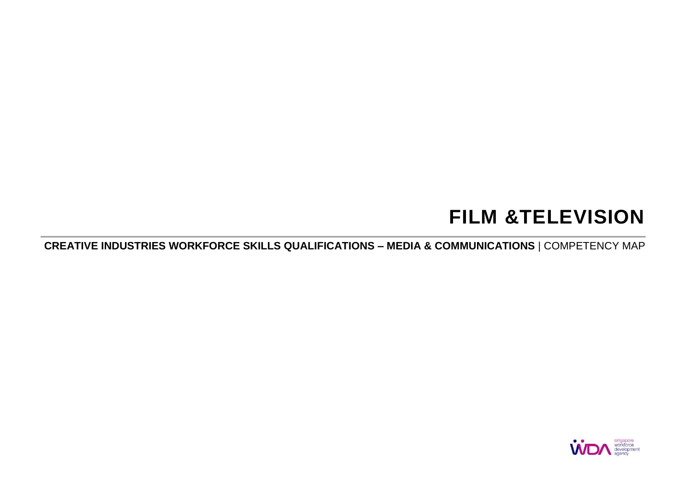# **FILM &TELEVISION**

**CREATIVE INDUSTRIES WORKFORCE SKILLS QUALIFICATIONS – MEDIA & COMMUNICATIONS** | COMPETENCY MAP

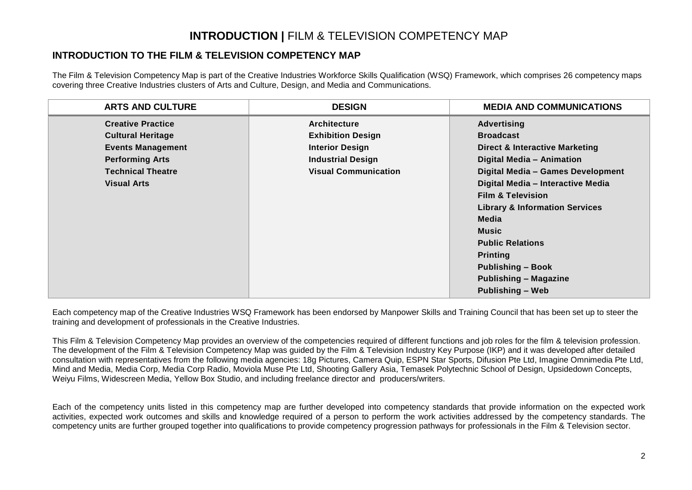## **INTRODUCTION |** FILM & TELEVISION COMPETENCY MAP

#### **INTRODUCTION TO THE FILM & TELEVISION COMPETENCY MAP**

The Film & Television Competency Map is part of the Creative Industries Workforce Skills Qualification (WSQ) Framework, which comprises 26 competency maps covering three Creative Industries clusters of Arts and Culture, Design, and Media and Communications.

| <b>ARTS AND CULTURE</b>  | <b>DESIGN</b>               | <b>MEDIA AND COMMUNICATIONS</b>           |
|--------------------------|-----------------------------|-------------------------------------------|
| <b>Creative Practice</b> | <b>Architecture</b>         | <b>Advertising</b>                        |
| <b>Cultural Heritage</b> | <b>Exhibition Design</b>    | <b>Broadcast</b>                          |
| <b>Events Management</b> | <b>Interior Design</b>      | <b>Direct &amp; Interactive Marketing</b> |
| <b>Performing Arts</b>   | <b>Industrial Design</b>    | Digital Media - Animation                 |
| <b>Technical Theatre</b> | <b>Visual Communication</b> | Digital Media - Games Development         |
| <b>Visual Arts</b>       |                             | Digital Media - Interactive Media         |
|                          |                             | <b>Film &amp; Television</b>              |
|                          |                             | <b>Library &amp; Information Services</b> |
|                          |                             | Media                                     |
|                          |                             | <b>Music</b>                              |
|                          |                             | <b>Public Relations</b>                   |
|                          |                             | <b>Printing</b>                           |
|                          |                             | <b>Publishing - Book</b>                  |
|                          |                             | <b>Publishing - Magazine</b>              |
|                          |                             | <b>Publishing - Web</b>                   |

Each competency map of the Creative Industries WSQ Framework has been endorsed by Manpower Skills and Training Council that has been set up to steer the training and development of professionals in the Creative Industries.

This Film & Television Competency Map provides an overview of the competencies required of different functions and job roles for the film & television profession. The development of the Film & Television Competency Map was guided by the Film & Television Industry Key Purpose (IKP) and it was developed after detailed consultation with representatives from the following media agencies: 18g Pictures, Camera Quip, ESPN Star Sports, Difusion Pte Ltd, Imagine Omnimedia Pte Ltd, Mind and Media, Media Corp, Media Corp Radio, Moviola Muse Pte Ltd, Shooting Gallery Asia, Temasek Polytechnic School of Design, Upsidedown Concepts, Weiyu Films, Widescreen Media, Yellow Box Studio, and including freelance director and producers/writers.

Each of the competency units listed in this competency map are further developed into competency standards that provide information on the expected work activities, expected work outcomes and skills and knowledge required of a person to perform the work activities addressed by the competency standards. The competency units are further grouped together into qualifications to provide competency progression pathways for professionals in the Film & Television sector.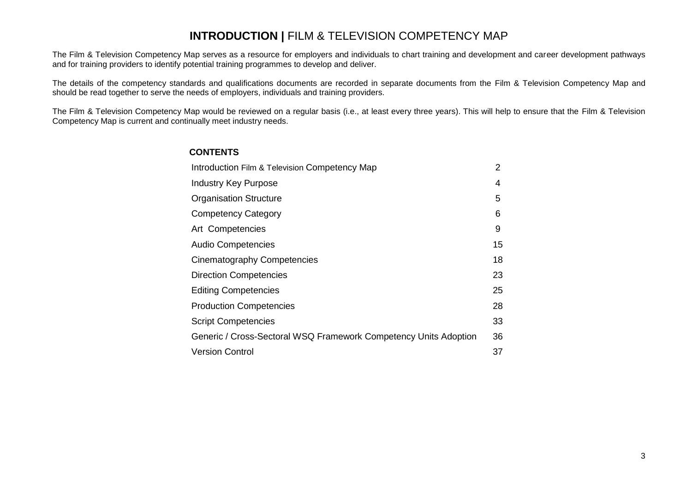#### **INTRODUCTION |** FILM & TELEVISION COMPETENCY MAP

The Film & Television Competency Map serves as a resource for employers and individuals to chart training and development and career development pathways and for training providers to identify potential training programmes to develop and deliver.

The details of the competency standards and qualifications documents are recorded in separate documents from the Film & Television Competency Map and should be read together to serve the needs of employers, individuals and training providers.

The Film & Television Competency Map would be reviewed on a regular basis (i.e., at least every three years). This will help to ensure that the Film & Television Competency Map is current and continually meet industry needs.

#### **CONTENTS**

| Introduction Film & Television Competency Map                    | 2  |
|------------------------------------------------------------------|----|
| <b>Industry Key Purpose</b>                                      | 4  |
| <b>Organisation Structure</b>                                    | 5  |
| <b>Competency Category</b>                                       | 6  |
| Art Competencies                                                 | 9  |
| <b>Audio Competencies</b>                                        | 15 |
| <b>Cinematography Competencies</b>                               | 18 |
| <b>Direction Competencies</b>                                    | 23 |
| <b>Editing Competencies</b>                                      | 25 |
| <b>Production Competencies</b>                                   | 28 |
| <b>Script Competencies</b>                                       | 33 |
| Generic / Cross-Sectoral WSQ Framework Competency Units Adoption | 36 |
| <b>Version Control</b>                                           | 37 |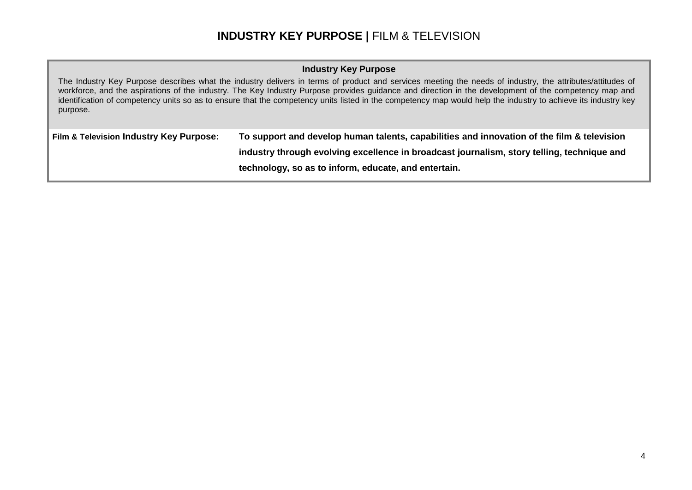## **INDUSTRY KEY PURPOSE |** FILM & TELEVISION

#### **Industry Key Purpose**

The Industry Key Purpose describes what the industry delivers in terms of product and services meeting the needs of industry, the attributes/attitudes of workforce, and the aspirations of the industry. The Key Industry Purpose provides guidance and direction in the development of the competency map and identification of competency units so as to ensure that the competency units listed in the competency map would help the industry to achieve its industry key purpose.

| Film & Television Industry Key Purpose: | To support and develop human talents, capabilities and innovation of the film & television |
|-----------------------------------------|--------------------------------------------------------------------------------------------|
|                                         | industry through evolving excellence in broadcast journalism, story telling, technique and |
|                                         | technology, so as to inform, educate, and entertain.                                       |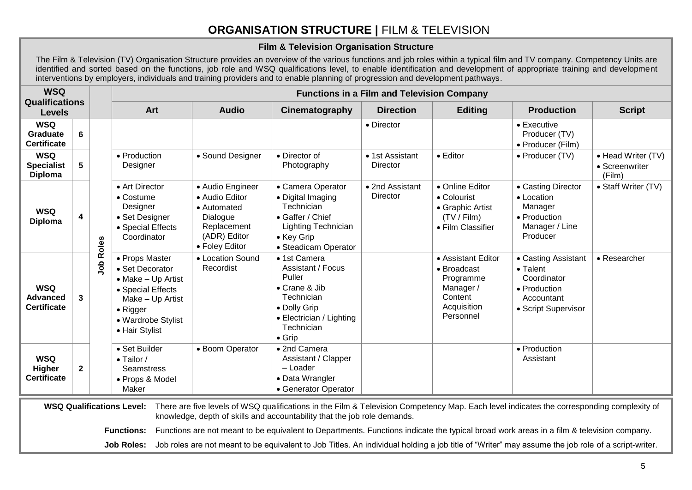# **ORGANISATION STRUCTURE |** FILM & TELEVISION

#### **Film & Television Organisation Structure**

The Film & Television (TV) Organisation Structure provides an overview of the various functions and job roles within a typical film and TV company. Competency Units are identified and sorted based on the functions, job role and WSQ qualifications level, to enable identification and development of appropriate training and development interventions by employers, individuals and training providers and to enable planning of progression and development pathways.

| <b>WSQ</b><br><b>Functions in a Film and Television Company</b>                                                                                                                                                                                                                                                                                                                                                            |              |                  |                                                                                                                                                              |                                                                                                                |                                                                                                                                                        |                                    |                                                                                                            |                                                                                                             |                                                |
|----------------------------------------------------------------------------------------------------------------------------------------------------------------------------------------------------------------------------------------------------------------------------------------------------------------------------------------------------------------------------------------------------------------------------|--------------|------------------|--------------------------------------------------------------------------------------------------------------------------------------------------------------|----------------------------------------------------------------------------------------------------------------|--------------------------------------------------------------------------------------------------------------------------------------------------------|------------------------------------|------------------------------------------------------------------------------------------------------------|-------------------------------------------------------------------------------------------------------------|------------------------------------------------|
| <b>Qualifications</b><br><b>Levels</b>                                                                                                                                                                                                                                                                                                                                                                                     |              |                  | Art                                                                                                                                                          | <b>Audio</b>                                                                                                   | Cinematography                                                                                                                                         | <b>Direction</b>                   | <b>Editing</b>                                                                                             | <b>Production</b>                                                                                           | <b>Script</b>                                  |
| <b>WSQ</b><br><b>Graduate</b><br><b>Certificate</b>                                                                                                                                                                                                                                                                                                                                                                        | 6            |                  |                                                                                                                                                              |                                                                                                                |                                                                                                                                                        | • Director                         |                                                                                                            | • Executive<br>Producer (TV)<br>• Producer (Film)                                                           |                                                |
| <b>WSQ</b><br><b>Specialist</b><br><b>Diploma</b>                                                                                                                                                                                                                                                                                                                                                                          | 5            |                  | • Production<br>Designer                                                                                                                                     | • Sound Designer                                                                                               | • Director of<br>Photography                                                                                                                           | • 1st Assistant<br>Director        | $\bullet$ Editor                                                                                           | • Producer (TV)                                                                                             | • Head Writer (TV)<br>• Screenwriter<br>(Film) |
| <b>WSQ</b><br><b>Diploma</b>                                                                                                                                                                                                                                                                                                                                                                                               | 4            |                  | • Art Director<br>• Costume<br>Designer<br>• Set Designer<br>• Special Effects<br>Coordinator                                                                | • Audio Engineer<br>• Audio Editor<br>• Automated<br>Dialogue<br>Replacement<br>(ADR) Editor<br>• Foley Editor | • Camera Operator<br>• Digital Imaging<br>Technician<br>• Gaffer / Chief<br><b>Lighting Technician</b><br>• Key Grip<br>• Steadicam Operator           | • 2nd Assistant<br><b>Director</b> | • Online Editor<br>• Colourist<br>• Graphic Artist<br>(TV / Film)<br>• Film Classifier                     | • Casting Director<br>• Location<br>Manager<br>• Production<br>Manager / Line<br>Producer                   | • Staff Writer (TV)                            |
| <b>WSQ</b><br><b>Advanced</b><br><b>Certificate</b>                                                                                                                                                                                                                                                                                                                                                                        | $\mathbf{3}$ | <b>Job Roles</b> | • Props Master<br>• Set Decorator<br>$\bullet$ Make - Up Artist<br>• Special Effects<br>Make - Up Artist<br>• Rigger<br>• Wardrobe Stylist<br>• Hair Stylist | • Location Sound<br>Recordist                                                                                  | • 1st Camera<br>Assistant / Focus<br>Puller<br>• Crane & Jib<br>Technician<br>• Dolly Grip<br>• Electrician / Lighting<br>Technician<br>$\bullet$ Grip |                                    | • Assistant Editor<br>$\bullet$ Broadcast<br>Programme<br>Manager /<br>Content<br>Acquisition<br>Personnel | • Casting Assistant<br>$\bullet$ Talent<br>Coordinator<br>• Production<br>Accountant<br>• Script Supervisor | • Researcher                                   |
| <b>WSQ</b><br>Higher<br><b>Certificate</b>                                                                                                                                                                                                                                                                                                                                                                                 | $\mathbf{2}$ |                  | • Set Builder<br>$\bullet$ Tailor /<br><b>Seamstress</b><br>• Props & Model<br>Maker                                                                         | • Boom Operator                                                                                                | • 2nd Camera<br>Assistant / Clapper<br>- Loader<br>• Data Wrangler<br>• Generator Operator                                                             |                                    |                                                                                                            | • Production<br>Assistant                                                                                   |                                                |
| <b>WSQ Qualifications Level:</b><br>There are five levels of WSQ qualifications in the Film & Television Competency Map. Each level indicates the corresponding complexity of<br>knowledge, depth of skills and accountability that the job role demands.<br><b>Functions:</b><br>Functions are not meant to be equivalent to Departments. Functions indicate the typical broad work areas in a film & television company. |              |                  |                                                                                                                                                              |                                                                                                                |                                                                                                                                                        |                                    |                                                                                                            |                                                                                                             |                                                |

Job Roles: Job roles are not meant to be equivalent to Job Titles. An individual holding a job title of "Writer" may assume the job role of a script-writer.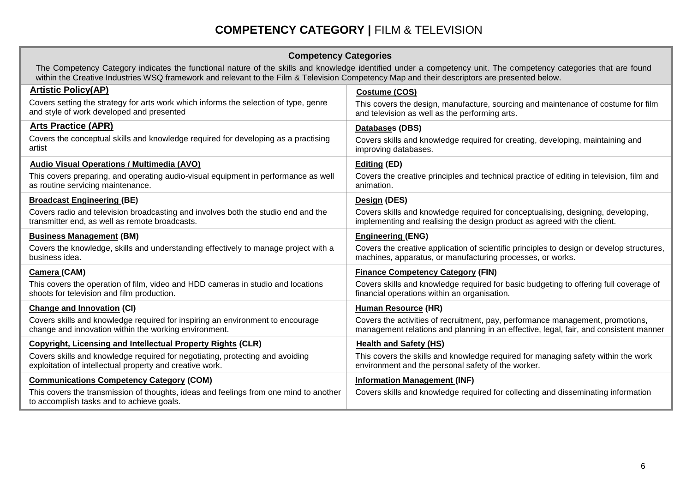# **COMPETENCY CATEGORY |** FILM & TELEVISION

#### **Competency Categories**

The Competency Category indicates the functional nature of the skills and knowledge identified under a competency unit. The competency categories that are found within the Creative Industries WSQ framework and relevant to the Film & Television Competency Map and their descriptors are presented below.

| <b>Artistic Policy(AP)</b>                                                                                                                | Costume (COS)                                                                                                                                                           |
|-------------------------------------------------------------------------------------------------------------------------------------------|-------------------------------------------------------------------------------------------------------------------------------------------------------------------------|
| Covers setting the strategy for arts work which informs the selection of type, genre<br>and style of work developed and presented         | This covers the design, manufacture, sourcing and maintenance of costume for film<br>and television as well as the performing arts.                                     |
| <b>Arts Practice (APR)</b>                                                                                                                | Databases (DBS)                                                                                                                                                         |
| Covers the conceptual skills and knowledge required for developing as a practising<br>artist                                              | Covers skills and knowledge required for creating, developing, maintaining and<br>improving databases.                                                                  |
| Audio Visual Operations / Multimedia (AVO)                                                                                                | <b>Editing (ED)</b>                                                                                                                                                     |
| This covers preparing, and operating audio-visual equipment in performance as well<br>as routine servicing maintenance.                   | Covers the creative principles and technical practice of editing in television, film and<br>animation.                                                                  |
| <b>Broadcast Engineering (BE)</b>                                                                                                         | Design (DES)                                                                                                                                                            |
| Covers radio and television broadcasting and involves both the studio end and the<br>transmitter end, as well as remote broadcasts.       | Covers skills and knowledge required for conceptualising, designing, developing,<br>implementing and realising the design product as agreed with the client.            |
| <b>Business Management (BM)</b>                                                                                                           | <b>Engineering (ENG)</b>                                                                                                                                                |
| Covers the knowledge, skills and understanding effectively to manage project with a<br>business idea.                                     | Covers the creative application of scientific principles to design or develop structures,<br>machines, apparatus, or manufacturing processes, or works.                 |
| Camera (CAM)                                                                                                                              | <b>Finance Competency Category (FIN)</b>                                                                                                                                |
| This covers the operation of film, video and HDD cameras in studio and locations<br>shoots for television and film production.            | Covers skills and knowledge required for basic budgeting to offering full coverage of<br>financial operations within an organisation.                                   |
| <b>Change and Innovation (CI)</b>                                                                                                         | <b>Human Resource (HR)</b>                                                                                                                                              |
| Covers skills and knowledge required for inspiring an environment to encourage<br>change and innovation within the working environment.   | Covers the activities of recruitment, pay, performance management, promotions,<br>management relations and planning in an effective, legal, fair, and consistent manner |
| <b>Copyright, Licensing and Intellectual Property Rights (CLR)</b>                                                                        | <b>Health and Safety (HS)</b>                                                                                                                                           |
| Covers skills and knowledge required for negotiating, protecting and avoiding<br>exploitation of intellectual property and creative work. | This covers the skills and knowledge required for managing safety within the work<br>environment and the personal safety of the worker.                                 |
| <b>Communications Competency Category (COM)</b>                                                                                           | <b>Information Management (INF)</b>                                                                                                                                     |
| This covers the transmission of thoughts, ideas and feelings from one mind to another<br>to accomplish tasks and to achieve goals.        | Covers skills and knowledge required for collecting and disseminating information                                                                                       |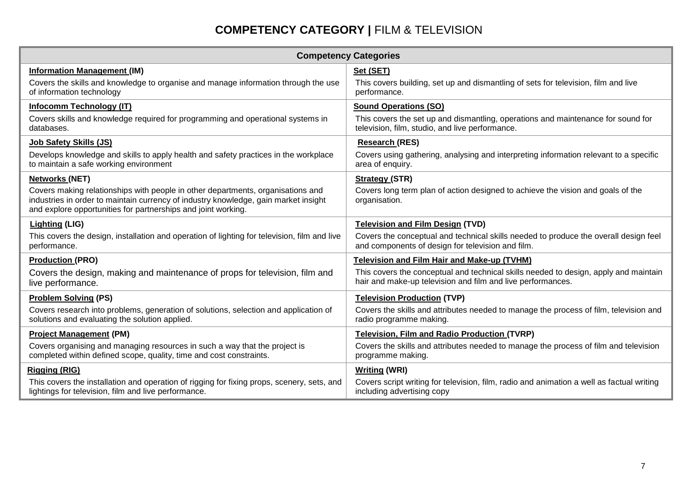# **COMPETENCY CATEGORY |** FILM & TELEVISION

| <b>Competency Categories</b>                                                                                                                                                                                                            |                                                                                                                                                     |  |  |  |  |  |
|-----------------------------------------------------------------------------------------------------------------------------------------------------------------------------------------------------------------------------------------|-----------------------------------------------------------------------------------------------------------------------------------------------------|--|--|--|--|--|
| <b>Information Management (IM)</b>                                                                                                                                                                                                      | Set (SET)                                                                                                                                           |  |  |  |  |  |
| Covers the skills and knowledge to organise and manage information through the use<br>of information technology                                                                                                                         | This covers building, set up and dismantling of sets for television, film and live<br>performance.                                                  |  |  |  |  |  |
| Infocomm Technology (IT)                                                                                                                                                                                                                | <b>Sound Operations (SO)</b>                                                                                                                        |  |  |  |  |  |
| Covers skills and knowledge required for programming and operational systems in<br>databases.                                                                                                                                           | This covers the set up and dismantling, operations and maintenance for sound for<br>television, film, studio, and live performance.                 |  |  |  |  |  |
| <b>Job Safety Skills (JS)</b>                                                                                                                                                                                                           | <b>Research (RES)</b>                                                                                                                               |  |  |  |  |  |
| Develops knowledge and skills to apply health and safety practices in the workplace<br>to maintain a safe working environment                                                                                                           | Covers using gathering, analysing and interpreting information relevant to a specific<br>area of enquiry.                                           |  |  |  |  |  |
| <b>Networks (NET)</b>                                                                                                                                                                                                                   | <b>Strategy (STR)</b>                                                                                                                               |  |  |  |  |  |
| Covers making relationships with people in other departments, organisations and<br>industries in order to maintain currency of industry knowledge, gain market insight<br>and explore opportunities for partnerships and joint working. | Covers long term plan of action designed to achieve the vision and goals of the<br>organisation.                                                    |  |  |  |  |  |
| <b>Lighting (LIG)</b>                                                                                                                                                                                                                   | <b>Television and Film Design (TVD)</b>                                                                                                             |  |  |  |  |  |
| This covers the design, installation and operation of lighting for television, film and live<br>performance.                                                                                                                            | Covers the conceptual and technical skills needed to produce the overall design feel<br>and components of design for television and film.           |  |  |  |  |  |
| <b>Production (PRO)</b>                                                                                                                                                                                                                 | Television and Film Hair and Make-up (TVHM)                                                                                                         |  |  |  |  |  |
| Covers the design, making and maintenance of props for television, film and<br>live performance.                                                                                                                                        | This covers the conceptual and technical skills needed to design, apply and maintain<br>hair and make-up television and film and live performances. |  |  |  |  |  |
| <b>Problem Solving (PS)</b>                                                                                                                                                                                                             | <b>Television Production (TVP)</b>                                                                                                                  |  |  |  |  |  |
| Covers research into problems, generation of solutions, selection and application of<br>solutions and evaluating the solution applied.                                                                                                  | Covers the skills and attributes needed to manage the process of film, television and<br>radio programme making.                                    |  |  |  |  |  |
| <b>Project Management (PM)</b>                                                                                                                                                                                                          | <b>Television, Film and Radio Production (TVRP)</b>                                                                                                 |  |  |  |  |  |
| Covers organising and managing resources in such a way that the project is<br>completed within defined scope, quality, time and cost constraints.                                                                                       | Covers the skills and attributes needed to manage the process of film and television<br>programme making.                                           |  |  |  |  |  |
| <b>Rigging (RIG)</b>                                                                                                                                                                                                                    | <b>Writing (WRI)</b>                                                                                                                                |  |  |  |  |  |
| This covers the installation and operation of rigging for fixing props, scenery, sets, and<br>lightings for television, film and live performance.                                                                                      | Covers script writing for television, film, radio and animation a well as factual writing<br>including advertising copy                             |  |  |  |  |  |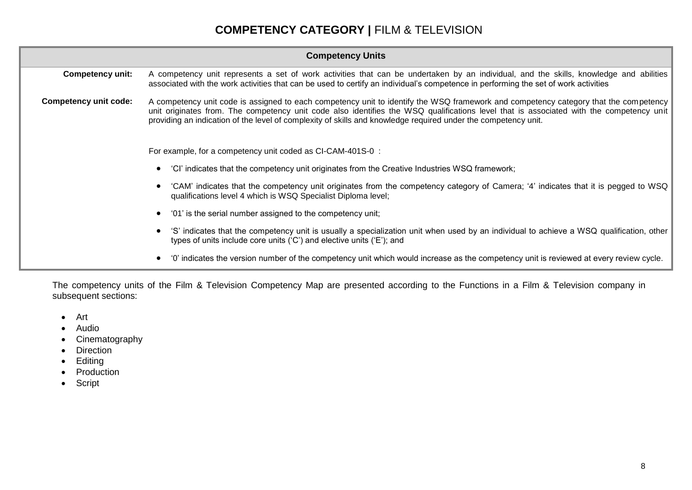# **COMPETENCY CATEGORY |** FILM & TELEVISION

|                                                                                                                                                                                                                      | <b>Competency Units</b>                                                                                                                                                                                                                                                                                                                                                                           |  |  |  |  |  |
|----------------------------------------------------------------------------------------------------------------------------------------------------------------------------------------------------------------------|---------------------------------------------------------------------------------------------------------------------------------------------------------------------------------------------------------------------------------------------------------------------------------------------------------------------------------------------------------------------------------------------------|--|--|--|--|--|
| <b>Competency unit:</b>                                                                                                                                                                                              | A competency unit represents a set of work activities that can be undertaken by an individual, and the skills, knowledge and abilities<br>associated with the work activities that can be used to certify an individual's competence in performing the set of work activities                                                                                                                     |  |  |  |  |  |
| Competency unit code:                                                                                                                                                                                                | A competency unit code is assigned to each competency unit to identify the WSQ framework and competency category that the competency<br>unit originates from. The competency unit code also identifies the WSQ qualifications level that is associated with the competency unit<br>providing an indication of the level of complexity of skills and knowledge required under the competency unit. |  |  |  |  |  |
|                                                                                                                                                                                                                      | For example, for a competency unit coded as CI-CAM-401S-0 :                                                                                                                                                                                                                                                                                                                                       |  |  |  |  |  |
|                                                                                                                                                                                                                      | 'Cl' indicates that the competency unit originates from the Creative Industries WSQ framework;                                                                                                                                                                                                                                                                                                    |  |  |  |  |  |
|                                                                                                                                                                                                                      | 'CAM' indicates that the competency unit originates from the competency category of Camera; '4' indicates that it is pegged to WSQ<br>qualifications level 4 which is WSQ Specialist Diploma level;                                                                                                                                                                                               |  |  |  |  |  |
|                                                                                                                                                                                                                      | '01' is the serial number assigned to the competency unit;                                                                                                                                                                                                                                                                                                                                        |  |  |  |  |  |
| 'S' indicates that the competency unit is usually a specialization unit when used by an individual to achieve a WSQ qualification, other<br>types of units include core units $(C')$ and elective units $(E')$ ; and |                                                                                                                                                                                                                                                                                                                                                                                                   |  |  |  |  |  |
|                                                                                                                                                                                                                      | '0' indicates the version number of the competency unit which would increase as the competency unit is reviewed at every review cycle.                                                                                                                                                                                                                                                            |  |  |  |  |  |

The competency units of the Film & Television Competency Map are presented according to the Functions in a Film & Television company in subsequent sections:

- Art
- Audio
- Cinematography
- Direction
- Editing
- Production
- Script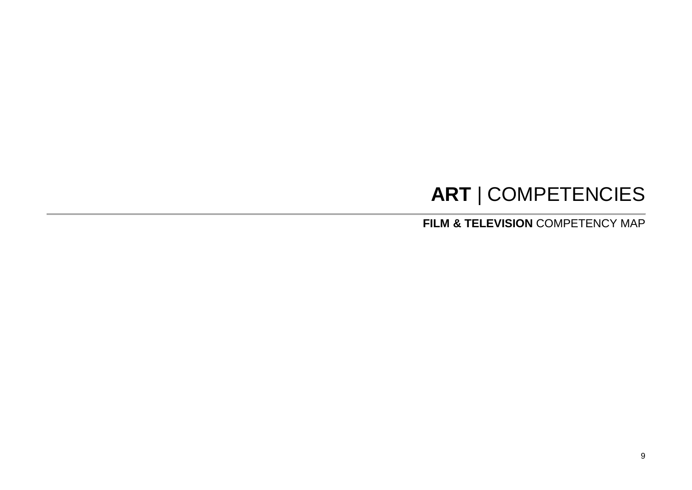# **ART** | COMPETENCIES

**FILM & TELEVISION** COMPETENCY MAP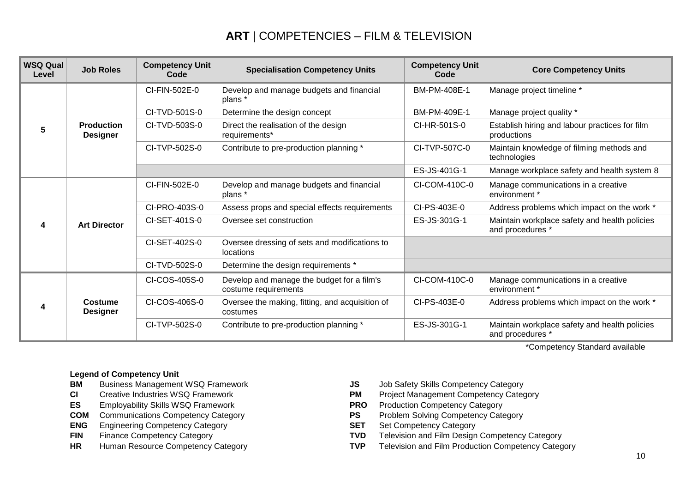| <b>WSQ Qual</b><br>Level | <b>Job Roles</b>                     | <b>Competency Unit</b><br>Code | <b>Specialisation Competency Units</b>                             | <b>Competency Unit</b><br>Code | <b>Core Competency Units</b>                                      |
|--------------------------|--------------------------------------|--------------------------------|--------------------------------------------------------------------|--------------------------------|-------------------------------------------------------------------|
|                          |                                      | CI-FIN-502E-0                  | Develop and manage budgets and financial<br>plans *                | BM-PM-408E-1                   | Manage project timeline *                                         |
|                          |                                      | CI-TVD-501S-0                  | Determine the design concept                                       | BM-PM-409E-1                   | Manage project quality *                                          |
| 5                        | <b>Production</b><br><b>Designer</b> | CI-TVD-503S-0                  | Direct the realisation of the design<br>requirements*              | CI-HR-501S-0                   | Establish hiring and labour practices for film<br>productions     |
|                          |                                      | CI-TVP-502S-0                  | Contribute to pre-production planning *                            | CI-TVP-507C-0                  | Maintain knowledge of filming methods and<br>technologies         |
|                          |                                      |                                |                                                                    | ES-JS-401G-1                   | Manage workplace safety and health system 8                       |
|                          | <b>Art Director</b>                  | CI-FIN-502E-0                  | Develop and manage budgets and financial<br>plans *                | CI-COM-410C-0                  | Manage communications in a creative<br>environment *              |
|                          |                                      | CI-PRO-403S-0                  | Assess props and special effects requirements                      | CI-PS-403E-0                   | Address problems which impact on the work *                       |
| 4                        |                                      | CI-SET-401S-0                  | Oversee set construction                                           | ES-JS-301G-1                   | Maintain workplace safety and health policies<br>and procedures * |
|                          |                                      | CI-SET-402S-0                  | Oversee dressing of sets and modifications to<br>locations         |                                |                                                                   |
|                          |                                      | CI-TVD-502S-0                  | Determine the design requirements *                                |                                |                                                                   |
| 4                        |                                      | CI-COS-405S-0                  | Develop and manage the budget for a film's<br>costume requirements | CI-COM-410C-0                  | Manage communications in a creative<br>environment *              |
|                          | Costume<br><b>Designer</b>           | CI-COS-406S-0                  | Oversee the making, fitting, and acquisition of<br>costumes        | CI-PS-403E-0                   | Address problems which impact on the work *                       |
|                          |                                      | CI-TVP-502S-0                  | Contribute to pre-production planning *                            | ES-JS-301G-1                   | Maintain workplace safety and health policies<br>and procedures * |

\*Competency Standard available

- **BM** Business Management WSQ Framework **JS** Job Safety Skills Competency Category
- 
- **ES** Employability Skills WSQ Framework **PRO** PRO
- 
- **ENG** Engineering Competency Category<br> **FIN** Finance Competency Category<br> **FIN** Finance Competency Category<br> **SET** Set Competency Category<br> **TVD** Television and Film Design
- 
- 
- 
- **CI** Creative Industries WSQ Framework **PM** Project Management Competency Category<br> **PRO** Production Competency Category<br> **PRO** Production Competency Category
	-
- **COM** Communications Competency Category **PS** Problem Solving Competency Category
	-
- **FIN** Finance Competency Category **TVD** Television and Film Design Competency Category
- **HR** Human Resource Competency Category **TVP** Television and Film Production Competency Category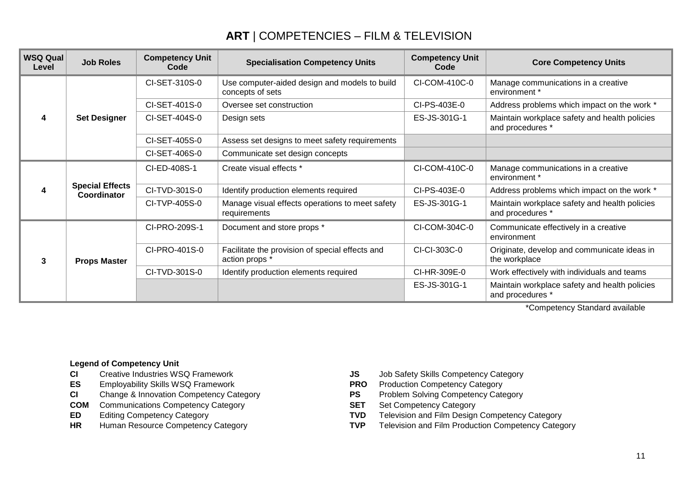| <b>WSQ Qual</b><br>Level | <b>Job Roles</b>                      | <b>Competency Unit</b><br>Code | <b>Specialisation Competency Units</b>                            | <b>Competency Unit</b><br>Code | <b>Core Competency Units</b>                                      |
|--------------------------|---------------------------------------|--------------------------------|-------------------------------------------------------------------|--------------------------------|-------------------------------------------------------------------|
|                          |                                       | CI-SET-310S-0                  | Use computer-aided design and models to build<br>concepts of sets | CI-COM-410C-0                  | Manage communications in a creative<br>environment *              |
|                          |                                       | CI-SET-401S-0                  | Oversee set construction                                          | CI-PS-403E-0                   | Address problems which impact on the work *                       |
| 4                        | <b>Set Designer</b>                   | CI-SET-404S-0                  | Design sets                                                       | ES-JS-301G-1                   | Maintain workplace safety and health policies<br>and procedures * |
|                          |                                       | CI-SET-405S-0                  | Assess set designs to meet safety requirements                    |                                |                                                                   |
|                          |                                       | CI-SET-406S-0                  | Communicate set design concepts                                   |                                |                                                                   |
|                          | <b>Special Effects</b><br>Coordinator | CI-ED-408S-1                   | Create visual effects *                                           | CI-COM-410C-0                  | Manage communications in a creative<br>environment *              |
| 4                        |                                       | CI-TVD-301S-0                  | Identify production elements required                             | CI-PS-403E-0                   | Address problems which impact on the work *                       |
|                          |                                       | CI-TVP-405S-0                  | Manage visual effects operations to meet safety<br>requirements   | ES-JS-301G-1                   | Maintain workplace safety and health policies<br>and procedures * |
|                          |                                       | CI-PRO-209S-1                  | Document and store props *                                        | CI-COM-304C-0                  | Communicate effectively in a creative<br>environment              |
| 3                        | <b>Props Master</b>                   | CI-PRO-401S-0                  | Facilitate the provision of special effects and<br>action props * | CI-CI-303C-0                   | Originate, develop and communicate ideas in<br>the workplace      |
|                          |                                       | CI-TVD-301S-0                  | Identify production elements required                             | CI-HR-309E-0                   | Work effectively with individuals and teams                       |
|                          |                                       |                                |                                                                   | ES-JS-301G-1                   | Maintain workplace safety and health policies<br>and procedures * |

- **Legend of Competency Unit<br>CI** Creative Industries WSQ Framework
- 
- **ES** Employability Skills WSQ Framework **PRO** Production Competency Category<br> **CI** Change & Innovation Competency Category **PS** Problem Solving Competency Category **CI** Change & Innovation Competency Category **PS**
- **COM** Communications Competency Category **SET** Set Competency Category
- 
- 
- **CI** Creative Industries WSQ Framework **JS** Job Safety Skills Competency Category
	-
	-
	-
- **ED** Editing Competency Category<br> **HR** Human Resource Competency Category<br> **TVP** Television and Film Production Competency Category<br> **TVP** Television and Film Production Competency Category
- **HR** Human Resource Competency Category **TVP** Television and Film Production Competency Category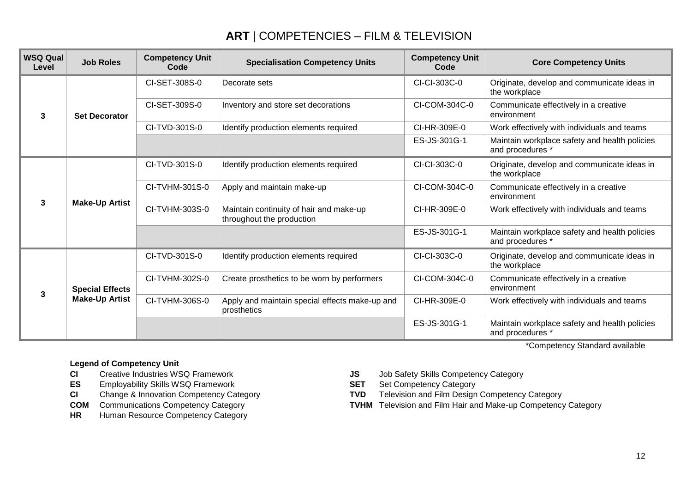| WSQ Qual<br>Level | <b>Job Roles</b>       | <b>Competency Unit</b><br>Code | <b>Specialisation Competency Units</b>                               | <b>Competency Unit</b><br>Code | <b>Core Competency Units</b>                                      |
|-------------------|------------------------|--------------------------------|----------------------------------------------------------------------|--------------------------------|-------------------------------------------------------------------|
|                   |                        | CI-SET-308S-0                  | Decorate sets                                                        | CI-CI-303C-0                   | Originate, develop and communicate ideas in<br>the workplace      |
| 3                 | <b>Set Decorator</b>   | CI-SET-309S-0                  | Inventory and store set decorations                                  | CI-COM-304C-0                  | Communicate effectively in a creative<br>environment              |
|                   |                        | $CI-TVD-301S-0$                | Identify production elements required                                | CI-HR-309E-0                   | Work effectively with individuals and teams                       |
|                   |                        |                                |                                                                      | ES-JS-301G-1                   | Maintain workplace safety and health policies<br>and procedures * |
| 3                 | <b>Make-Up Artist</b>  | CI-TVD-301S-0                  | Identify production elements required                                | CI-CI-303C-0                   | Originate, develop and communicate ideas in<br>the workplace      |
|                   |                        | CI-TVHM-301S-0                 | Apply and maintain make-up                                           | CI-COM-304C-0                  | Communicate effectively in a creative<br>environment              |
|                   |                        | CI-TVHM-303S-0                 | Maintain continuity of hair and make-up<br>throughout the production | CI-HR-309E-0                   | Work effectively with individuals and teams                       |
|                   |                        |                                |                                                                      | ES-JS-301G-1                   | Maintain workplace safety and health policies<br>and procedures * |
| 3                 |                        | CI-TVD-301S-0                  | Identify production elements required                                | CI-CI-303C-0                   | Originate, develop and communicate ideas in<br>the workplace      |
|                   | <b>Special Effects</b> | CI-TVHM-302S-0                 | Create prosthetics to be worn by performers                          | CI-COM-304C-0                  | Communicate effectively in a creative<br>environment              |
|                   | <b>Make-Up Artist</b>  | CI-TVHM-306S-0                 | Apply and maintain special effects make-up and<br>prosthetics        | CI-HR-309E-0                   | Work effectively with individuals and teams                       |
|                   |                        |                                |                                                                      | ES-JS-301G-1                   | Maintain workplace safety and health policies<br>and procedures * |

- **Legend of Competency Unit<br>CI** Creative Industries WSQ Framework
- **ES** Employability Skills WSQ Framework **SET** Set Competency Category<br> **CI** Change & Innovation Competency Category **SET** TVD Television and Film Design
- 
- 
- **HR** Human Resource Competency Category
- **CI** Creative Industries WSQ Framework **JS** Job Safety Skills Competency Category
	-
- **CI** Change & Innovation Competency Category **TVD** Television and Film Design Competency Category
- **COM** Communications Competency Category **TVHM** Television and Film Hair and Make-up Competency Category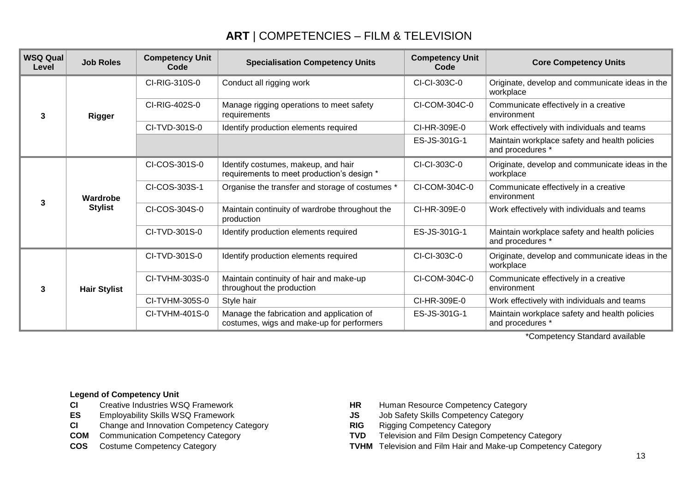| <b>WSQ Qual</b><br>Level | <b>Job Roles</b>           | <b>Competency Unit</b><br>Code | <b>Specialisation Competency Units</b>                                                 | <b>Competency Unit</b><br>Code | <b>Core Competency Units</b>                                      |
|--------------------------|----------------------------|--------------------------------|----------------------------------------------------------------------------------------|--------------------------------|-------------------------------------------------------------------|
|                          |                            | CI-RIG-310S-0                  | Conduct all rigging work                                                               | CI-CI-303C-0                   | Originate, develop and communicate ideas in the<br>workplace      |
| 3                        | <b>Rigger</b>              | CI-RIG-402S-0                  | Manage rigging operations to meet safety<br>requirements                               | CI-COM-304C-0                  | Communicate effectively in a creative<br>environment              |
|                          |                            | CI-TVD-301S-0                  | Identify production elements required                                                  | CI-HR-309E-0                   | Work effectively with individuals and teams                       |
|                          |                            |                                |                                                                                        | ES-JS-301G-1                   | Maintain workplace safety and health policies<br>and procedures * |
| 3                        | Wardrobe<br><b>Stylist</b> | CI-COS-301S-0                  | Identify costumes, makeup, and hair<br>requirements to meet production's design *      | CI-CI-303C-0                   | Originate, develop and communicate ideas in the<br>workplace      |
|                          |                            | CI-COS-303S-1                  | Organise the transfer and storage of costumes *                                        | CI-COM-304C-0                  | Communicate effectively in a creative<br>environment              |
|                          |                            | CI-COS-304S-0                  | Maintain continuity of wardrobe throughout the<br>production                           | CI-HR-309E-0                   | Work effectively with individuals and teams                       |
|                          |                            | CI-TVD-301S-0                  | Identify production elements required                                                  | ES-JS-301G-1                   | Maintain workplace safety and health policies<br>and procedures * |
| 3                        |                            | CI-TVD-301S-0                  | Identify production elements required                                                  | CI-CI-303C-0                   | Originate, develop and communicate ideas in the<br>workplace      |
|                          | <b>Hair Stylist</b>        | CI-TVHM-303S-0                 | Maintain continuity of hair and make-up<br>throughout the production                   | CI-COM-304C-0                  | Communicate effectively in a creative<br>environment              |
|                          |                            | CI-TVHM-305S-0                 | Style hair                                                                             | CI-HR-309E-0                   | Work effectively with individuals and teams                       |
|                          |                            | CI-TVHM-401S-0                 | Manage the fabrication and application of<br>costumes, wigs and make-up for performers | ES-JS-301G-1                   | Maintain workplace safety and health policies<br>and procedures * |

- **Legend of Competency Unit<br>CI** Creative Industries WSQ Framework **CI** Creative Industries WSQ Framework **HR** Human Resource Competency Category
- 
- **ES** Employability Skills WSQ Framework **JS** Job Safety Skills Competency Category **CI** Change and Innovation Competency Category **CI** RIG Rigging Competency Category **CI** Change and Innovation Competency Category **RIG COM** Communication Competency Category **RIG TVD**
- 
- 
- 
- 
- 
- **TVD** Television and Film Design Competency Category
- **COS** Costume Competency Category **TVHM** Television and Film Hair and Make-up Competency Category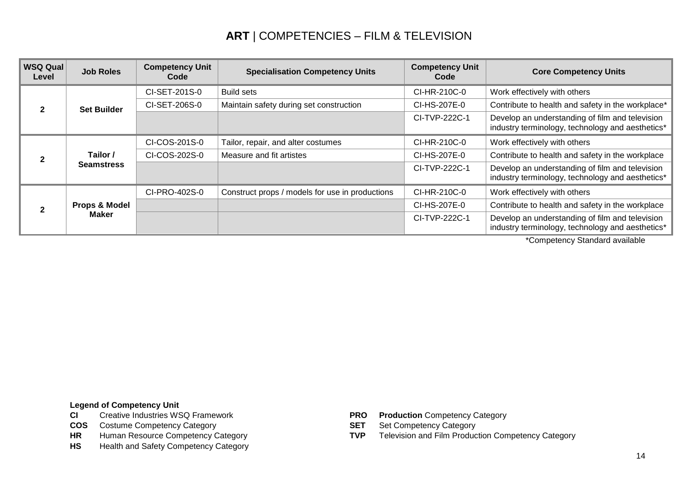| WSQ Qual<br>Level | <b>Job Roles</b>   | <b>Competency Unit</b><br>Code | <b>Specialisation Competency Units</b>          | <b>Competency Unit</b><br>Code | <b>Core Competency Units</b>                                                                        |
|-------------------|--------------------|--------------------------------|-------------------------------------------------|--------------------------------|-----------------------------------------------------------------------------------------------------|
|                   |                    | CI-SET-201S-0                  | <b>Build sets</b>                               | CI-HR-210C-0                   | Work effectively with others                                                                        |
| 2                 | <b>Set Builder</b> | CI-SET-206S-0                  | Maintain safety during set construction         | CI-HS-207E-0                   | Contribute to health and safety in the workplace*                                                   |
|                   |                    |                                |                                                 | CI-TVP-222C-1                  | Develop an understanding of film and television<br>industry terminology, technology and aesthetics* |
| Tailor /          |                    | CI-COS-201S-0                  | Tailor, repair, and alter costumes              | CI-HR-210C-0                   | Work effectively with others                                                                        |
|                   |                    | CI-COS-202S-0                  | Measure and fit artistes                        | CI-HS-207E-0                   | Contribute to health and safety in the workplace                                                    |
|                   | <b>Seamstress</b>  |                                |                                                 | CI-TVP-222C-1                  | Develop an understanding of film and television<br>industry terminology, technology and aesthetics* |
|                   |                    | CI-PRO-402S-0                  | Construct props / models for use in productions | CI-HR-210C-0                   | Work effectively with others                                                                        |
|                   | Props & Model      |                                |                                                 | CI-HS-207E-0                   | Contribute to health and safety in the workplace                                                    |
|                   | Maker              |                                |                                                 | CI-TVP-222C-1                  | Develop an understanding of film and television<br>industry terminology, technology and aesthetics* |

\*Competency Standard available

- **CI** Creative Industries WSQ Framework **PRO Production** Competency Category<br> **COS** Costume Competency Category **PRO SET** Set Competency Category
- 
- **COS** Costume Competency Category<br> **SET** Human Resource Competency Category<br> **SET** COMPETER
- **HS** Health and Safety Competency Category
- 
- 
- **HR** Human Resource Competency Category **TVP** Television and Film Production Competency Category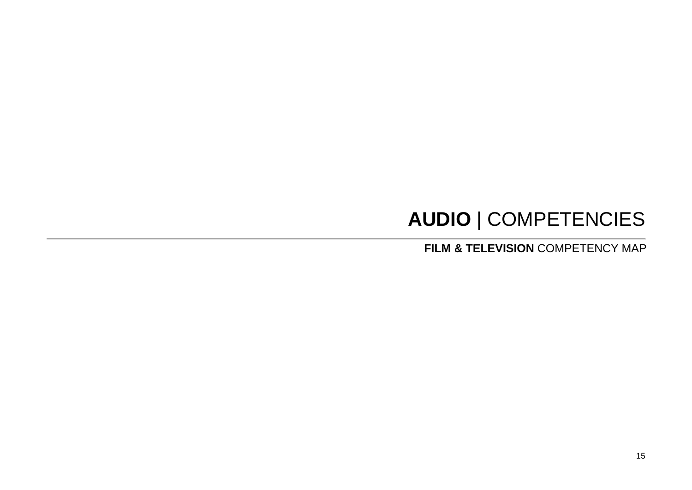# **AUDIO** | COMPETENCIES

**FILM & TELEVISION** COMPETENCY MAP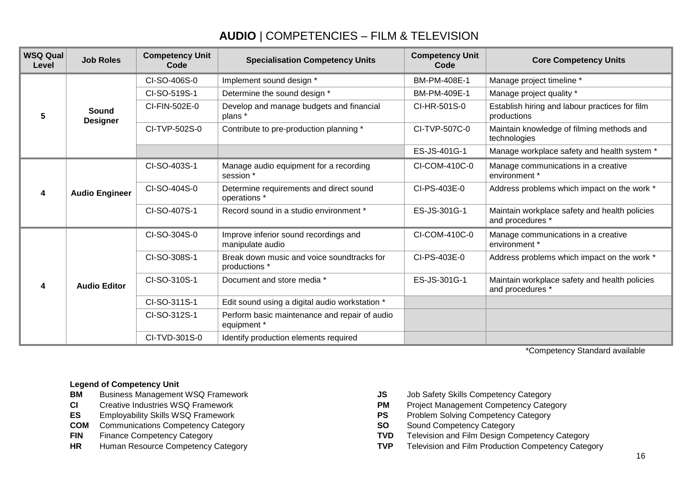| <b>WSQ Qual</b><br>Level | <b>Job Roles</b>         | <b>Competency Unit</b><br>Code | <b>Specialisation Competency Units</b>                       | <b>Competency Unit</b><br>Code | <b>Core Competency Units</b>                                      |
|--------------------------|--------------------------|--------------------------------|--------------------------------------------------------------|--------------------------------|-------------------------------------------------------------------|
|                          |                          | CI-SO-406S-0                   | Implement sound design *                                     | BM-PM-408E-1                   | Manage project timeline *                                         |
|                          |                          | CI-SO-519S-1                   | Determine the sound design *                                 | BM-PM-409E-1                   | Manage project quality *                                          |
| 5                        | Sound<br><b>Designer</b> | CI-FIN-502E-0                  | Develop and manage budgets and financial<br>plans *          | CI-HR-501S-0                   | Establish hiring and labour practices for film<br>productions     |
|                          |                          | CI-TVP-502S-0                  | Contribute to pre-production planning *                      | CI-TVP-507C-0                  | Maintain knowledge of filming methods and<br>technologies         |
|                          |                          |                                |                                                              | ES-JS-401G-1                   | Manage workplace safety and health system *                       |
|                          | <b>Audio Engineer</b>    | CI-SO-403S-1                   | Manage audio equipment for a recording<br>session *          | CI-COM-410C-0                  | Manage communications in a creative<br>environment *              |
|                          |                          | CI-SO-404S-0                   | Determine requirements and direct sound<br>operations *      | CI-PS-403E-0                   | Address problems which impact on the work *                       |
|                          |                          | CI-SO-407S-1                   | Record sound in a studio environment *                       | ES-JS-301G-1                   | Maintain workplace safety and health policies<br>and procedures * |
|                          |                          | CI-SO-304S-0                   | Improve inferior sound recordings and<br>manipulate audio    | CI-COM-410C-0                  | Manage communications in a creative<br>environment *              |
|                          |                          | CI-SO-308S-1                   | Break down music and voice soundtracks for<br>productions *  | CI-PS-403E-0                   | Address problems which impact on the work *                       |
|                          | <b>Audio Editor</b>      | CI-SO-310S-1                   | Document and store media *                                   | ES-JS-301G-1                   | Maintain workplace safety and health policies<br>and procedures * |
|                          |                          | CI-SO-311S-1                   | Edit sound using a digital audio workstation *               |                                |                                                                   |
|                          |                          | CI-SO-312S-1                   | Perform basic maintenance and repair of audio<br>equipment * |                                |                                                                   |
|                          |                          | CI-TVD-301S-0                  | Identify production elements required                        |                                |                                                                   |

\*Competency Standard available

- **BM** Business Management WSQ Framework **JS** Job Safety Skills Competency Category
- 
- 
- **COM** Communications Competency Category **SO**<br> **FIN** Finance Competency Category **SO SO TVD**
- 
- 
- 
- **CI** Creative Industries WSQ Framework **PM** Project Management Competency Category
- **ES** Employability Skills WSQ Framework **PS** Problem Solving Competency Category **COM** Communications Competency Category **COM** Communications Competency Category
	-
- **FIN** Finance Competency Category **TVD** Television and Film Design Competency Category
- HR Human Resource Competency Category **TVP Television and Film Production Competency Category**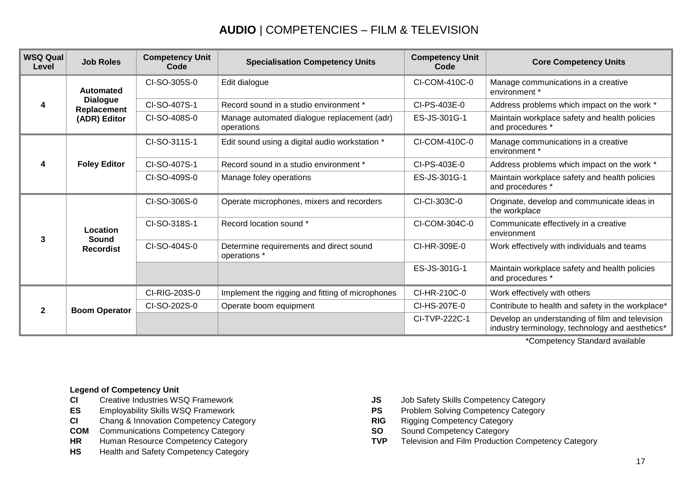| <b>WSQ Qual</b><br>Level | <b>Job Roles</b>               | <b>Competency Unit</b><br>Code | <b>Specialisation Competency Units</b>                    | <b>Competency Unit</b><br>Code | <b>Core Competency Units</b>                                                                        |
|--------------------------|--------------------------------|--------------------------------|-----------------------------------------------------------|--------------------------------|-----------------------------------------------------------------------------------------------------|
|                          | Automated                      | CI-SO-305S-0                   | Edit dialogue                                             | CI-COM-410C-0                  | Manage communications in a creative<br>environment *                                                |
| Δ                        | <b>Dialogue</b><br>Replacement | CI-SO-407S-1                   | Record sound in a studio environment *                    | CI-PS-403E-0                   | Address problems which impact on the work *                                                         |
|                          | (ADR) Editor                   | CI-SO-408S-0                   | Manage automated dialogue replacement (adr)<br>operations | ES-JS-301G-1                   | Maintain workplace safety and health policies<br>and procedures *                                   |
|                          |                                | CI-SO-311S-1                   | Edit sound using a digital audio workstation *            | CI-COM-410C-0                  | Manage communications in a creative<br>environment *                                                |
| 4                        | <b>Foley Editor</b>            | CI-SO-407S-1                   | Record sound in a studio environment *                    | CI-PS-403E-0                   | Address problems which impact on the work *                                                         |
|                          |                                | CI-SO-409S-0                   | Manage foley operations                                   | ES-JS-301G-1                   | Maintain workplace safety and health policies<br>and procedures *                                   |
|                          |                                | CI-SO-306S-0                   | Operate microphones, mixers and recorders                 | CI-CI-303C-0                   | Originate, develop and communicate ideas in<br>the workplace                                        |
| 3                        | Location<br>Sound              | CI-SO-318S-1                   | Record location sound *                                   | CI-COM-304C-0                  | Communicate effectively in a creative<br>environment                                                |
|                          | <b>Recordist</b>               | CI-SO-404S-0                   | Determine requirements and direct sound<br>operations *   | CI-HR-309E-0                   | Work effectively with individuals and teams                                                         |
|                          |                                |                                |                                                           | ES-JS-301G-1                   | Maintain workplace safety and health policies<br>and procedures *                                   |
|                          |                                | CI-RIG-203S-0                  | Implement the rigging and fitting of microphones          | CI-HR-210C-0                   | Work effectively with others                                                                        |
| $\mathbf{2}$             | <b>Boom Operator</b>           | CI-SO-202S-0                   | Operate boom equipment                                    | CI-HS-207E-0                   | Contribute to health and safety in the workplace*                                                   |
|                          |                                |                                |                                                           | CI-TVP-222C-1                  | Develop an understanding of film and television<br>industry terminology, technology and aesthetics* |

\*Competency Standard available

- **CI** Creative Industries WSQ Framework **JS** Job Safety Skills Competency Category
- **ES** Employability Skills WSQ Framework **PS** Problem Solving Competency Category
- **CI** Chang & Innovation Competency Category<br> **COM** Communications Competency Category<br> **COM** Communications Competency Category<br> **COM** Communications Competency Category
- **COM** Communications Competency Category **SOUND COM**
- 
- **HS** Health and Safety Competency Category
- 
- 
- 
- 
- HR Human Resource Competency Category **TVP** Television and Film Production Competency Category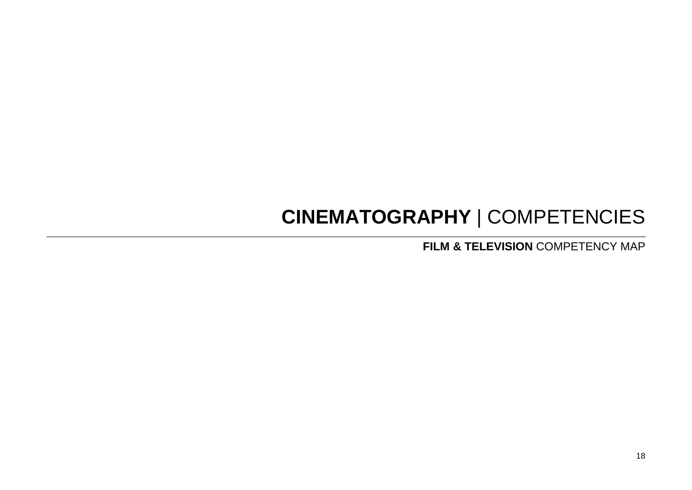# **CINEMATOGRAPHY** | COMPETENCIES

**FILM & TELEVISION** COMPETENCY MAP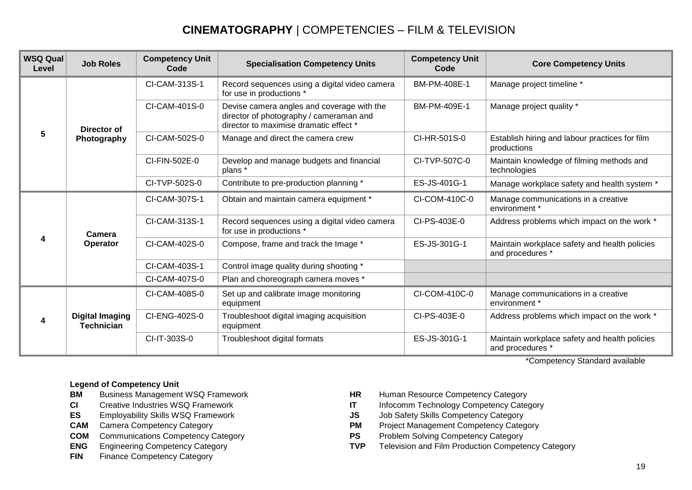| <b>WSQ Qual</b><br>Level | <b>Job Roles</b>                            | <b>Competency Unit</b><br>Code | <b>Specialisation Competency Units</b>                                                                                          | <b>Competency Unit</b><br>Code | <b>Core Competency Units</b>                                      |
|--------------------------|---------------------------------------------|--------------------------------|---------------------------------------------------------------------------------------------------------------------------------|--------------------------------|-------------------------------------------------------------------|
|                          |                                             | CI-CAM-313S-1                  | Record sequences using a digital video camera<br>for use in productions *                                                       | BM-PM-408E-1                   | Manage project timeline *                                         |
|                          | Director of                                 | CI-CAM-401S-0                  | Devise camera angles and coverage with the<br>director of photography / cameraman and<br>director to maximise dramatic effect * | BM-PM-409E-1                   | Manage project quality *                                          |
| 5                        | Photography                                 | CI-CAM-502S-0                  | Manage and direct the camera crew                                                                                               | CI-HR-501S-0                   | Establish hiring and labour practices for film<br>productions     |
|                          |                                             | CI-FIN-502E-0                  | Develop and manage budgets and financial<br>plans *                                                                             | CI-TVP-507C-0                  | Maintain knowledge of filming methods and<br>technologies         |
|                          |                                             | CI-TVP-502S-0                  | Contribute to pre-production planning *                                                                                         | ES-JS-401G-1                   | Manage workplace safety and health system *                       |
|                          | Camera                                      | CI-CAM-307S-1                  | Obtain and maintain camera equipment *                                                                                          | CI-COM-410C-0                  | Manage communications in a creative<br>environment *              |
|                          |                                             | CI-CAM-313S-1                  | Record sequences using a digital video camera<br>for use in productions *                                                       | CI-PS-403E-0                   | Address problems which impact on the work *                       |
| 4                        | Operator                                    | CI-CAM-402S-0                  | Compose, frame and track the Image *                                                                                            | ES-JS-301G-1                   | Maintain workplace safety and health policies<br>and procedures * |
|                          |                                             | CI-CAM-403S-1                  | Control image quality during shooting *                                                                                         |                                |                                                                   |
|                          |                                             | CI-CAM-407S-0                  | Plan and choreograph camera moves *                                                                                             |                                |                                                                   |
|                          |                                             | CI-CAM-408S-0                  | Set up and calibrate image monitoring<br>equipment                                                                              | CI-COM-410C-0                  | Manage communications in a creative<br>environment *              |
| 4                        | <b>Digital Imaging</b><br><b>Technician</b> | CI-ENG-402S-0                  | Troubleshoot digital imaging acquisition<br>equipment                                                                           | CI-PS-403E-0                   | Address problems which impact on the work *                       |
|                          |                                             | CI-IT-303S-0                   | Troubleshoot digital formats                                                                                                    | ES-JS-301G-1                   | Maintain workplace safety and health policies<br>and procedures * |

\*Competency Standard available

- 
- 
- 
- 
- 
- 
- **FIN** Finance Competency Category
- **BM** Business Management WSQ Framework **HR** Human Resource Competency Category
- **CI** Creative Industries WSQ Framework **IT** Infocomm Technology Competency Category
- **ES** Employability Skills WSQ Framework **JS** Job Safety Skills Competency Category
- **CAM** Camera Competency Category **PM** Project Management Competency Category
- **COM** Communications Competency Category **PS** Problem Solving Competency Category
- **ENG** Engineering Competency Category **TVP** Television and Film Production Competency Category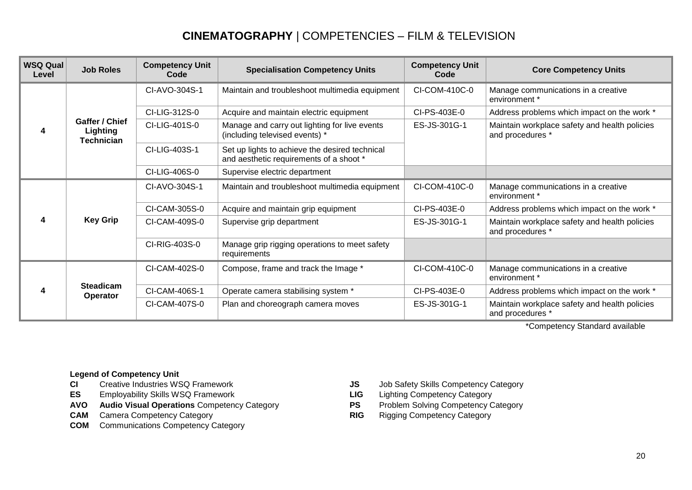| <b>WSQ Qual</b><br>Level | <b>Job Roles</b>                                | <b>Competency Unit</b><br>Code | <b>Specialisation Competency Units</b>                                                    | <b>Competency Unit</b><br>Code | <b>Core Competency Units</b>                                      |
|--------------------------|-------------------------------------------------|--------------------------------|-------------------------------------------------------------------------------------------|--------------------------------|-------------------------------------------------------------------|
|                          |                                                 | CI-AVO-304S-1                  | Maintain and troubleshoot multimedia equipment                                            | CI-COM-410C-0                  | Manage communications in a creative<br>environment *              |
|                          |                                                 | CI-LIG-312S-0                  | Acquire and maintain electric equipment                                                   | CI-PS-403E-0                   | Address problems which impact on the work *                       |
|                          | Gaffer / Chief<br>Lighting<br><b>Technician</b> | CI-LIG-401S-0                  | Manage and carry out lighting for live events<br>(including televised events) *           | ES-JS-301G-1                   | Maintain workplace safety and health policies<br>and procedures * |
|                          |                                                 | CI-LIG-403S-1                  | Set up lights to achieve the desired technical<br>and aesthetic requirements of a shoot * |                                |                                                                   |
|                          |                                                 | CI-LIG-406S-0                  | Supervise electric department                                                             |                                |                                                                   |
|                          | <b>Key Grip</b>                                 | CI-AVO-304S-1                  | Maintain and troubleshoot multimedia equipment                                            | CI-COM-410C-0                  | Manage communications in a creative<br>environment *              |
|                          |                                                 | CI-CAM-305S-0                  | Acquire and maintain grip equipment                                                       | CI-PS-403E-0                   | Address problems which impact on the work *                       |
|                          |                                                 | CI-CAM-409S-0                  | Supervise grip department                                                                 | ES-JS-301G-1                   | Maintain workplace safety and health policies<br>and procedures * |
|                          |                                                 | CI-RIG-403S-0                  | Manage grip rigging operations to meet safety<br>requirements                             |                                |                                                                   |
|                          |                                                 | CI-CAM-402S-0                  | Compose, frame and track the Image *                                                      | CI-COM-410C-0                  | Manage communications in a creative<br>environment *              |
|                          | <b>Steadicam</b><br><b>Operator</b>             | CI-CAM-406S-1                  | Operate camera stabilising system *                                                       | CI-PS-403E-0                   | Address problems which impact on the work *                       |
|                          |                                                 | CI-CAM-407S-0                  | Plan and choreograph camera moves                                                         | ES-JS-301G-1                   | Maintain workplace safety and health policies<br>and procedures * |

\*Competency Standard available

- 
- 
- **ES** Employability Skills WSQ Framework **LIG** Lighting Competency Category<br> **AVO Audio Visual Operations** Competency Category **Category PS** Problem Solving Competency Category **AVO Audio Visual Operations** Competency Category **PS**
- **CAM** Camera Competency Category **RIG** Rigging Competency Category
- **COM** Communications Competency Category
- **CI** Creative Industries WSQ Framework **JS** Job Safety Skills Competency Category<br> **CI** Creative Industries WSQ Framework **Lignum CIC** Lighting Competency Category
	-
	-
	-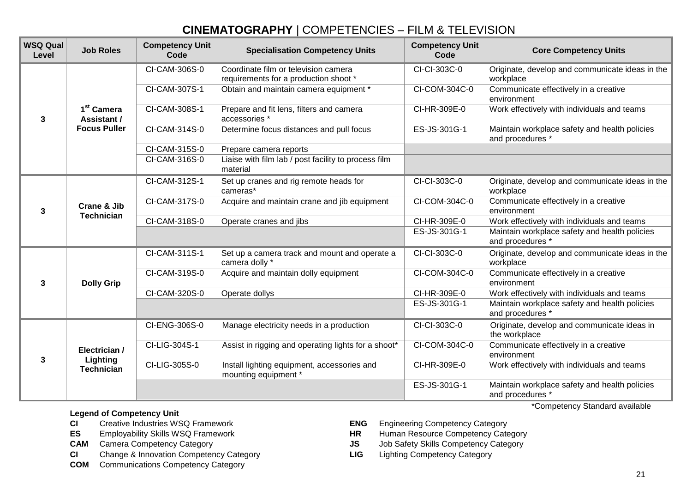| <b>WSQ Qual</b><br>Level | <b>Job Roles</b>                            | <b>Competency Unit</b><br>Code | <b>Specialisation Competency Units</b>                                        | <b>Competency Unit</b><br>Code | <b>Core Competency Units</b>                                      |
|--------------------------|---------------------------------------------|--------------------------------|-------------------------------------------------------------------------------|--------------------------------|-------------------------------------------------------------------|
|                          |                                             | CI-CAM-306S-0                  | Coordinate film or television camera<br>requirements for a production shoot * | CI-CI-303C-0                   | Originate, develop and communicate ideas in the<br>workplace      |
|                          |                                             | CI-CAM-307S-1                  | Obtain and maintain camera equipment *                                        | CI-COM-304C-0                  | Communicate effectively in a creative<br>environment              |
| 3                        | 1 <sup>st</sup> Camera<br>Assistant /       | CI-CAM-308S-1                  | Prepare and fit lens, filters and camera<br>accessories *                     | CI-HR-309E-0                   | Work effectively with individuals and teams                       |
|                          | <b>Focus Puller</b>                         | CI-CAM-314S-0                  | Determine focus distances and pull focus                                      | ES-JS-301G-1                   | Maintain workplace safety and health policies<br>and procedures * |
|                          |                                             | CI-CAM-315S-0                  | Prepare camera reports                                                        |                                |                                                                   |
|                          |                                             | CI-CAM-316S-0                  | Liaise with film lab / post facility to process film<br>material              |                                |                                                                   |
| 3                        |                                             | CI-CAM-312S-1                  | Set up cranes and rig remote heads for<br>cameras*                            | CI-CI-303C-0                   | Originate, develop and communicate ideas in the<br>workplace      |
|                          | <b>Crane &amp; Jib</b><br><b>Technician</b> | CI-CAM-317S-0                  | Acquire and maintain crane and jib equipment                                  | CI-COM-304C-0                  | Communicate effectively in a creative<br>environment              |
|                          |                                             | CI-CAM-318S-0                  | Operate cranes and jibs                                                       | CI-HR-309E-0                   | Work effectively with individuals and teams                       |
|                          |                                             |                                |                                                                               | ES-JS-301G-1                   | Maintain workplace safety and health policies<br>and procedures * |
|                          |                                             | CI-CAM-311S-1                  | Set up a camera track and mount and operate a<br>camera dolly *               | CI-CI-303C-0                   | Originate, develop and communicate ideas in the<br>workplace      |
| 3                        | <b>Dolly Grip</b>                           | CI-CAM-319S-0                  | Acquire and maintain dolly equipment                                          | CI-COM-304C-0                  | Communicate effectively in a creative<br>environment              |
|                          |                                             | CI-CAM-320S-0                  | Operate dollys                                                                | CI-HR-309E-0                   | Work effectively with individuals and teams                       |
|                          |                                             |                                |                                                                               | ES-JS-301G-1                   | Maintain workplace safety and health policies<br>and procedures * |
|                          |                                             | CI-ENG-306S-0                  | Manage electricity needs in a production                                      | CI-CI-303C-0                   | Originate, develop and communicate ideas in<br>the workplace      |
| 3                        | Electrician /                               | CI-LIG-304S-1                  | Assist in rigging and operating lights for a shoot*                           | CI-COM-304C-0                  | Communicate effectively in a creative<br>environment              |
|                          | Lighting<br><b>Technician</b>               | CI-LIG-305S-0                  | Install lighting equipment, accessories and<br>mounting equipment *           | CI-HR-309E-0                   | Work effectively with individuals and teams                       |
|                          |                                             |                                |                                                                               | ES-JS-301G-1                   | Maintain workplace safety and health policies<br>and procedures * |

- **Legend of Competency Unit<br>CI** Creative Industries WSQ Framework
- **ES** Employability Skills WSQ Framework **HR** Human Resource Competency Category
- 
- **CI** Change & Innovation Competency Category **LIG**
- **COM** Communications Competency Category
- \*Competency Standard available
- Creative Industries WSQ Framework **ENG** Engineering Competency Category<br>
ENG Engineering Competency Category<br>
HR Human Resource Competency Cate
	-
- **CAM** Camera Competency Category<br> **CI** Change & Innovation Competency Category<br> **CI** Lighting Competency Category<br> **CI** Lighting Competency Category
	-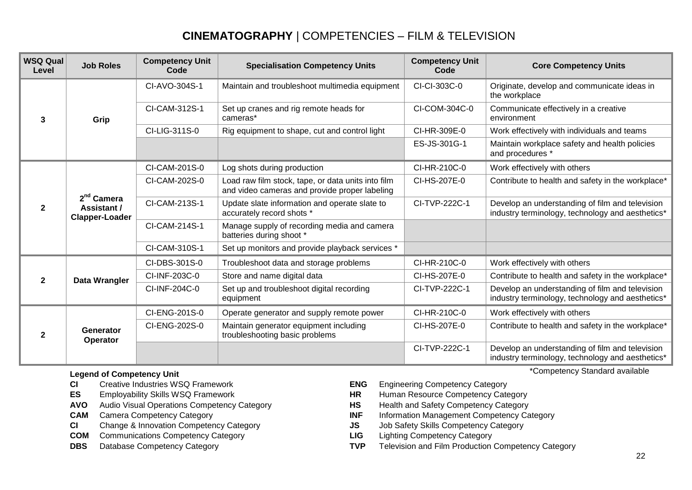| <b>WSQ Qual</b><br>Level | <b>Job Roles</b>                                     | <b>Competency Unit</b><br>Code | <b>Specialisation Competency Units</b>                                                              | <b>Competency Unit</b><br>Code | <b>Core Competency Units</b>                                                                        |
|--------------------------|------------------------------------------------------|--------------------------------|-----------------------------------------------------------------------------------------------------|--------------------------------|-----------------------------------------------------------------------------------------------------|
|                          |                                                      | CI-AVO-304S-1                  | Maintain and troubleshoot multimedia equipment                                                      | CI-CI-303C-0                   | Originate, develop and communicate ideas in<br>the workplace                                        |
| 3                        | Grip                                                 | CI-CAM-312S-1                  | Set up cranes and rig remote heads for<br>cameras*                                                  | CI-COM-304C-0                  | Communicate effectively in a creative<br>environment                                                |
|                          |                                                      | CI-LIG-311S-0                  | Rig equipment to shape, cut and control light                                                       | CI-HR-309E-0                   | Work effectively with individuals and teams                                                         |
|                          |                                                      |                                |                                                                                                     | ES-JS-301G-1                   | Maintain workplace safety and health policies<br>and procedures *                                   |
|                          |                                                      | CI-CAM-201S-0                  | Log shots during production                                                                         | CI-HR-210C-0                   | Work effectively with others                                                                        |
|                          | $2nd$ Camera<br>Assistant /<br><b>Clapper-Loader</b> | CI-CAM-202S-0                  | Load raw film stock, tape, or data units into film<br>and video cameras and provide proper labeling | CI-HS-207E-0                   | Contribute to health and safety in the workplace*                                                   |
| $\overline{2}$           |                                                      | CI-CAM-213S-1                  | Update slate information and operate slate to<br>accurately record shots *                          | CI-TVP-222C-1                  | Develop an understanding of film and television<br>industry terminology, technology and aesthetics* |
|                          |                                                      | CI-CAM-214S-1                  | Manage supply of recording media and camera<br>batteries during shoot *                             |                                |                                                                                                     |
|                          |                                                      | CI-CAM-310S-1                  | Set up monitors and provide playback services *                                                     |                                |                                                                                                     |
|                          |                                                      | CI-DBS-301S-0                  | Troubleshoot data and storage problems                                                              | CI-HR-210C-0                   | Work effectively with others                                                                        |
| $\mathbf{2}$             | Data Wrangler                                        | CI-INF-203C-0                  | Store and name digital data                                                                         | CI-HS-207E-0                   | Contribute to health and safety in the workplace*                                                   |
|                          |                                                      | CI-INF-204C-0                  | Set up and troubleshoot digital recording<br>equipment                                              | CI-TVP-222C-1                  | Develop an understanding of film and television<br>industry terminology, technology and aesthetics* |
|                          |                                                      | CI-ENG-201S-0                  | Operate generator and supply remote power                                                           | CI-HR-210C-0                   | Work effectively with others                                                                        |
| $\mathbf{2}$             | Generator<br>Operator                                | CI-ENG-202S-0                  | Maintain generator equipment including<br>troubleshooting basic problems                            | CI-HS-207E-0                   | Contribute to health and safety in the workplace*                                                   |
|                          |                                                      |                                |                                                                                                     | CI-TVP-222C-1                  | Develop an understanding of film and television<br>industry terminology, technology and aesthetics* |

- **CI** Creative Industries WSQ Framework **ENG** Engineering Competency Category
- 
- **AVO** Audio Visual Operations Competency Category **HS** Health and Safety Competency Category
- 
- **CI** Change & Innovation Competency Category **JS** Job Safety Skills Competency Category
- **COM** Communications Competency Category **LIG** Lighting Competency Category
- 
- \*Competency Standard available
- 
- **ES** Employability Skills WSQ Framework **HR** Human Resource Competency Category
	-
- **CAM** Camera Competency Category **INF** Information Management Competency Category
	-
	-
- **DBS** Database Competency Category **TVP** Television and Film Production Competency Category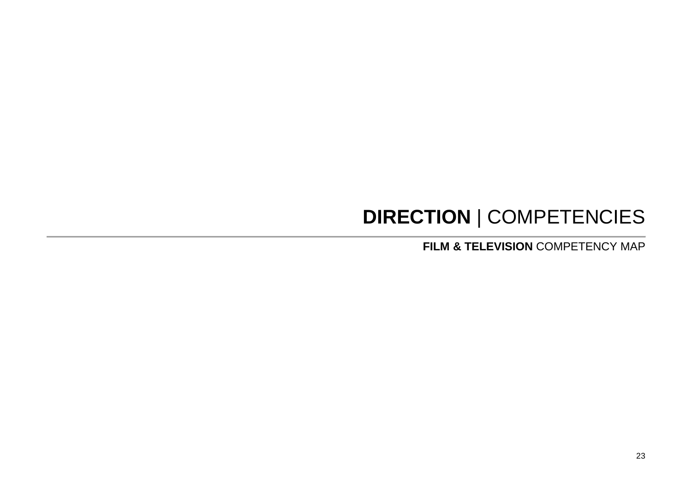# **DIRECTION** | COMPETENCIES

**FILM & TELEVISION** COMPETENCY MAP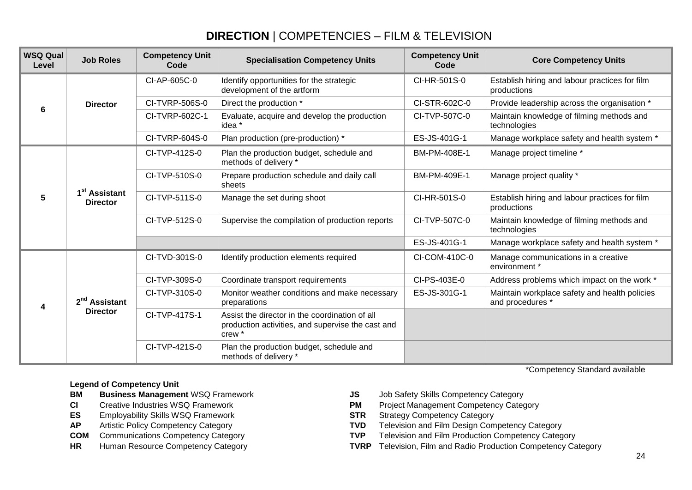| <b>WSQ Qual</b><br>Level | <b>Job Roles</b>                             | <b>Competency Unit</b><br>Code | <b>Specialisation Competency Units</b>                                                                        | <b>Competency Unit</b><br>Code | <b>Core Competency Units</b>                                      |
|--------------------------|----------------------------------------------|--------------------------------|---------------------------------------------------------------------------------------------------------------|--------------------------------|-------------------------------------------------------------------|
| 6                        |                                              | CI-AP-605C-0                   | Identify opportunities for the strategic<br>development of the artform                                        | CI-HR-501S-0                   | Establish hiring and labour practices for film<br>productions     |
|                          | <b>Director</b>                              | CI-TVRP-506S-0                 | Direct the production *                                                                                       | CI-STR-602C-0                  | Provide leadership across the organisation *                      |
|                          |                                              | CI-TVRP-602C-1                 | Evaluate, acquire and develop the production<br>idea *                                                        | CI-TVP-507C-0                  | Maintain knowledge of filming methods and<br>technologies         |
|                          |                                              | CI-TVRP-604S-0                 | Plan production (pre-production) *                                                                            | ES-JS-401G-1                   | Manage workplace safety and health system *                       |
|                          |                                              | CI-TVP-412S-0                  | Plan the production budget, schedule and<br>methods of delivery *                                             | BM-PM-408E-1                   | Manage project timeline *                                         |
|                          | 1 <sup>st</sup> Assistant<br><b>Director</b> | CI-TVP-510S-0                  | Prepare production schedule and daily call<br>sheets                                                          | BM-PM-409E-1                   | Manage project quality *                                          |
| 5                        |                                              | CI-TVP-511S-0                  | Manage the set during shoot                                                                                   | CI-HR-501S-0                   | Establish hiring and labour practices for film<br>productions     |
|                          |                                              | CI-TVP-512S-0                  | Supervise the compilation of production reports                                                               | CI-TVP-507C-0                  | Maintain knowledge of filming methods and<br>technologies         |
|                          |                                              |                                |                                                                                                               | ES-JS-401G-1                   | Manage workplace safety and health system *                       |
|                          |                                              | CI-TVD-301S-0                  | Identify production elements required                                                                         | CI-COM-410C-0                  | Manage communications in a creative<br>environment *              |
|                          |                                              | CI-TVP-309S-0                  | Coordinate transport requirements                                                                             | CI-PS-403E-0                   | Address problems which impact on the work *                       |
| 4                        | 2 <sup>nd</sup> Assistant                    | CI-TVP-310S-0                  | Monitor weather conditions and make necessary<br>preparations                                                 | ES-JS-301G-1                   | Maintain workplace safety and health policies<br>and procedures * |
|                          | <b>Director</b>                              | CI-TVP-417S-1                  | Assist the director in the coordination of all<br>production activities, and supervise the cast and<br>crew * |                                |                                                                   |
|                          |                                              | CI-TVP-421S-0                  | Plan the production budget, schedule and<br>methods of delivery *                                             |                                |                                                                   |
|                          |                                              |                                |                                                                                                               |                                | *Competency Standard available                                    |

- **BM Business Management** WSQ Framework **JS** Job Safety Skills Competency Category
- 
- **ES** Employability Skills WSQ Framework **STR** Strategy Competency Category
- 
- 
- 
- 
- **CI** Creative Industries WSQ Framework **PM** Project Management Competency Category
	-
- **AP** Artistic Policy Competency Category **TVD** Television and Film Design Competency Category<br> **COM** Communications Competency Category **TVP** Television and Film Production Competency Category
	- **TVP** Television and Film Production Competency Category
- **HR** Human Resource Competency Category **TVRP** Television, Film and Radio Production Competency Category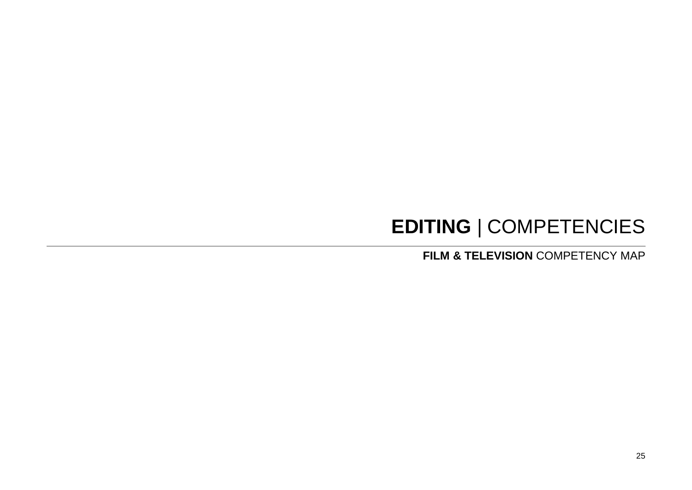# **EDITING** | COMPETENCIES

**FILM & TELEVISION** COMPETENCY MAP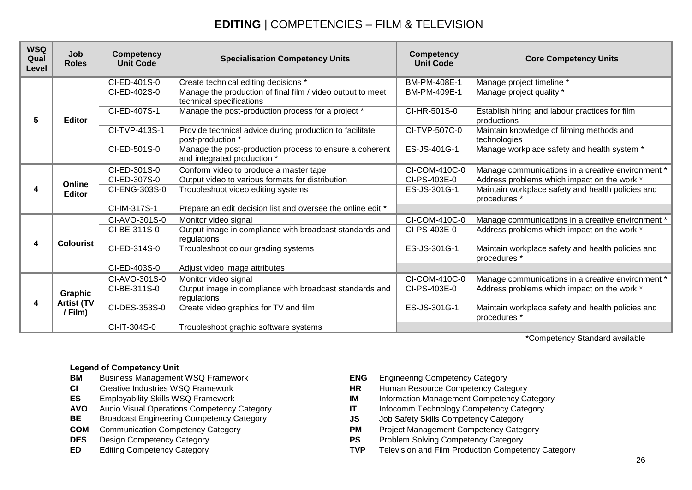### **EDITING** | COMPETENCIES – FILM & TELEVISION

| <b>WSQ</b><br>Qual<br>Level | <b>Job</b><br><b>Roles</b> | <b>Competency</b><br><b>Unit Code</b> | <b>Specialisation Competency Units</b>                                                 | <b>Competency</b><br><b>Unit Code</b> | <b>Core Competency Units</b>                                      |
|-----------------------------|----------------------------|---------------------------------------|----------------------------------------------------------------------------------------|---------------------------------------|-------------------------------------------------------------------|
|                             |                            | CI-ED-401S-0                          | Create technical editing decisions *                                                   | BM-PM-408E-1                          | Manage project timeline *                                         |
|                             |                            | CI-ED-402S-0                          | Manage the production of final film / video output to meet<br>technical specifications | BM-PM-409E-1                          | Manage project quality *                                          |
| 5                           | <b>Editor</b>              | CI-ED-407S-1                          | Manage the post-production process for a project *                                     | CI-HR-501S-0                          | Establish hiring and labour practices for film<br>productions     |
|                             |                            | CI-TVP-413S-1                         | Provide technical advice during production to facilitate<br>post-production *          | CI-TVP-507C-0                         | Maintain knowledge of filming methods and<br>technologies         |
|                             |                            | CI-ED-501S-0                          | Manage the post-production process to ensure a coherent<br>and integrated production * | ES-JS-401G-1                          | Manage workplace safety and health system *                       |
|                             |                            | CI-ED-301S-0                          | Conform video to produce a master tape                                                 | CI-COM-410C-0                         | Manage communications in a creative environment *                 |
|                             | Online                     | CI-ED-307S-0                          | Output video to various formats for distribution                                       | CI-PS-403E-0                          | Address problems which impact on the work *                       |
|                             | <b>Editor</b>              | CI-ENG-303S-0                         | Troubleshoot video editing systems                                                     | ES-JS-301G-1                          | Maintain workplace safety and health policies and<br>procedures * |
|                             |                            | CI-IM-317S-1                          | Prepare an edit decision list and oversee the online edit *                            |                                       |                                                                   |
|                             |                            | CI-AVO-301S-0                         | Monitor video signal                                                                   | CI-COM-410C-0                         | Manage communications in a creative environment *                 |
|                             |                            | CI-BE-311S-0                          | Output image in compliance with broadcast standards and<br>regulations                 | CI-PS-403E-0                          | Address problems which impact on the work *                       |
|                             | <b>Colourist</b>           | CI-ED-314S-0                          | Troubleshoot colour grading systems                                                    | ES-JS-301G-1                          | Maintain workplace safety and health policies and<br>procedures * |
|                             |                            | CI-ED-403S-0                          | Adjust video image attributes                                                          |                                       |                                                                   |
|                             |                            | CI-AVO-301S-0                         | Monitor video signal                                                                   | CI-COM-410C-0                         | Manage communications in a creative environment *                 |
|                             | Graphic                    | CI-BE-311S-0                          | Output image in compliance with broadcast standards and<br>regulations                 | CI-PS-403E-0                          | Address problems which impact on the work *                       |
|                             | Artist (TV<br>/ Film)      | CI-DES-353S-0                         | Create video graphics for TV and film                                                  | ES-JS-301G-1                          | Maintain workplace safety and health policies and<br>procedures * |
|                             |                            | CI-IT-304S-0                          | Troubleshoot graphic software systems                                                  |                                       |                                                                   |

\*Competency Standard available

- **BM** Business Management WSQ Framework **ENG** Engineering Competency Category
- 
- 
- **AVO** Audio Visual Operations Competency Category **IT** Infocomm Technology Competency Category
- **BE** Broadcast Engineering Competency Category **JS** Job Safety Skills Competency Category
- 
- 
- 
- 
- **CI** Creative Industries WSQ Framework **HR** Human Resource Competency Category
- **ES** Employability Skills WSQ Framework **IM** Information Management Competency Category
	-
	-
- **COM** Communication Competency Category **PM** Project Management Competency Category
- **DES** Design Competency Category **PS** Problem Solving Competency Category
- **ED** Editing Competency Category **TVP** Television and Film Production Competency Category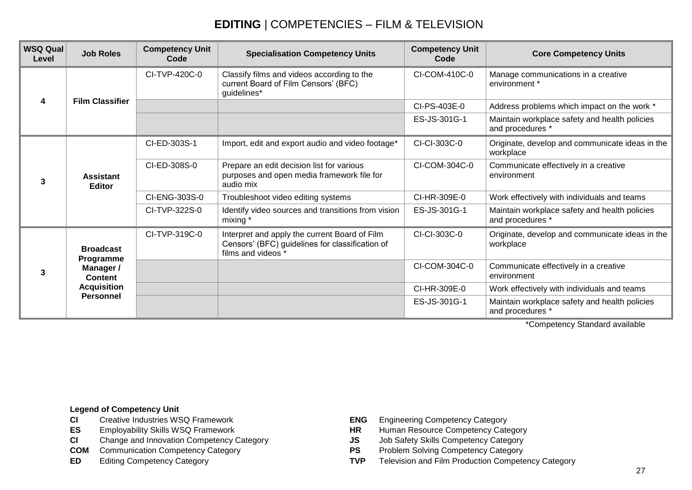## **EDITING** | COMPETENCIES – FILM & TELEVISION

| <b>WSQ Qual</b><br>Level | <b>Job Roles</b>                                             | <b>Competency Unit</b><br>Code | <b>Specialisation Competency Units</b>                                                                                 | <b>Competency Unit</b><br>Code | <b>Core Competency Units</b>                                      |
|--------------------------|--------------------------------------------------------------|--------------------------------|------------------------------------------------------------------------------------------------------------------------|--------------------------------|-------------------------------------------------------------------|
|                          |                                                              | CI-TVP-420C-0                  | Classify films and videos according to the<br>current Board of Film Censors' (BFC)<br>guidelines*                      | CI-COM-410C-0                  | Manage communications in a creative<br>environment *              |
| 4                        | <b>Film Classifier</b>                                       |                                |                                                                                                                        | CI-PS-403E-0                   | Address problems which impact on the work *                       |
|                          |                                                              |                                |                                                                                                                        | ES-JS-301G-1                   | Maintain workplace safety and health policies<br>and procedures * |
| 3                        |                                                              | CI-ED-303S-1                   | Import, edit and export audio and video footage*                                                                       | CI-CI-303C-0                   | Originate, develop and communicate ideas in the<br>workplace      |
|                          | <b>Assistant</b><br><b>Editor</b>                            | CI-ED-308S-0                   | Prepare an edit decision list for various<br>purposes and open media framework file for<br>audio mix                   | CI-COM-304C-0                  | Communicate effectively in a creative<br>environment              |
|                          |                                                              | CI-ENG-303S-0                  | Troubleshoot video editing systems                                                                                     | CI-HR-309E-0                   | Work effectively with individuals and teams                       |
|                          |                                                              | CI-TVP-322S-0                  | Identify video sources and transitions from vision<br>mixing *                                                         | ES-JS-301G-1                   | Maintain workplace safety and health policies<br>and procedures * |
|                          | <b>Broadcast</b><br>Programme<br>Manager /<br><b>Content</b> | CI-TVP-319C-0                  | Interpret and apply the current Board of Film<br>Censors' (BFC) guidelines for classification of<br>films and videos * | CI-CI-303C-0                   | Originate, develop and communicate ideas in the<br>workplace      |
| 3                        |                                                              |                                |                                                                                                                        | CI-COM-304C-0                  | Communicate effectively in a creative<br>environment              |
|                          | <b>Acquisition</b>                                           |                                |                                                                                                                        | CI-HR-309E-0                   | Work effectively with individuals and teams                       |
|                          | <b>Personnel</b>                                             |                                |                                                                                                                        | ES-JS-301G-1                   | Maintain workplace safety and health policies<br>and procedures * |

\*Competency Standard available

- **CI** Creative Industries WSQ Framework **ENG** Engineering Competency Category
- 
- **CI** Change and Innovation Competency Category **JS**
- **COM** Communication Competency Category **PS** Problem Solving Competency Category
- 
- 
- **ES** Employability Skills WSQ Framework **HR** Human Resource Competency Category<br> **CI** Change and Innovation Competency Category **CI** Job Safety Skills Competency Category
	-
	-
- **ED** Editing Competency Category **TVP** Television and Film Production Competency Category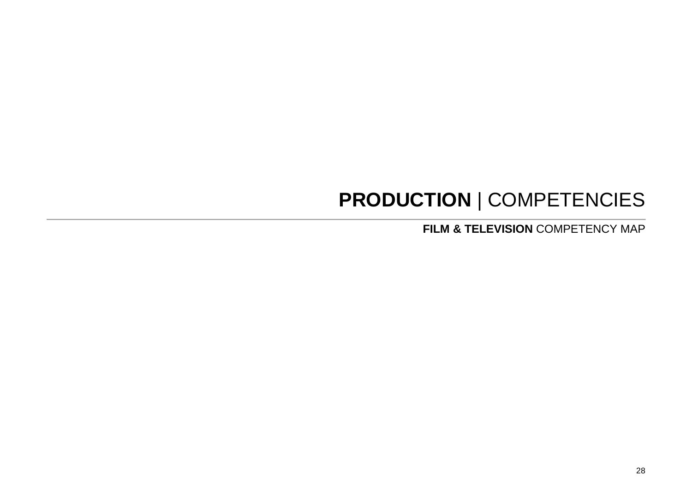# **PRODUCTION** | COMPETENCIES

**FILM & TELEVISION** COMPETENCY MAP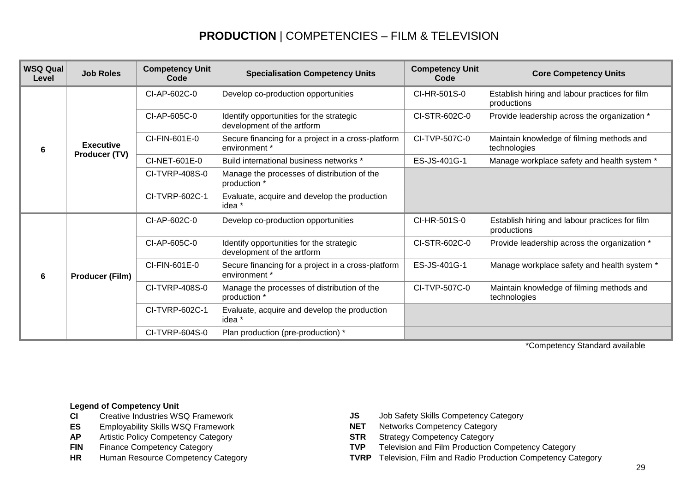| <b>WSQ Qual</b><br>Level | <b>Job Roles</b>       | <b>Competency Unit</b><br>Code | <b>Specialisation Competency Units</b>                                 | <b>Competency Unit</b><br>Code | <b>Core Competency Units</b>                                  |
|--------------------------|------------------------|--------------------------------|------------------------------------------------------------------------|--------------------------------|---------------------------------------------------------------|
|                          |                        | CI-AP-602C-0                   | Develop co-production opportunities                                    | CI-HR-501S-0                   | Establish hiring and labour practices for film<br>productions |
|                          |                        | CI-AP-605C-0                   | Identify opportunities for the strategic<br>development of the artform | CI-STR-602C-0                  | Provide leadership across the organization *                  |
| 6                        | <b>Executive</b>       | CI-FIN-601E-0                  | Secure financing for a project in a cross-platform<br>environment *    | CI-TVP-507C-0                  | Maintain knowledge of filming methods and<br>technologies     |
|                          | Producer (TV)          | CI-NET-601E-0                  | Build international business networks *                                | ES-JS-401G-1                   | Manage workplace safety and health system *                   |
|                          |                        | CI-TVRP-408S-0                 | Manage the processes of distribution of the<br>production *            |                                |                                                               |
|                          |                        | CI-TVRP-602C-1                 | Evaluate, acquire and develop the production<br>idea <sup>'</sup>      |                                |                                                               |
|                          |                        | CI-AP-602C-0                   | Develop co-production opportunities                                    | CI-HR-501S-0                   | Establish hiring and labour practices for film<br>productions |
|                          |                        | CI-AP-605C-0                   | Identify opportunities for the strategic<br>development of the artform | CI-STR-602C-0                  | Provide leadership across the organization *                  |
| 6                        | <b>Producer (Film)</b> | CI-FIN-601E-0                  | Secure financing for a project in a cross-platform<br>environment *    | ES-JS-401G-1                   | Manage workplace safety and health system *                   |
|                          |                        | CI-TVRP-408S-0                 | Manage the processes of distribution of the<br>production *            | CI-TVP-507C-0                  | Maintain knowledge of filming methods and<br>technologies     |
|                          |                        | CI-TVRP-602C-1                 | Evaluate, acquire and develop the production<br>idea *                 |                                |                                                               |
|                          |                        | CI-TVRP-604S-0                 | Plan production (pre-production) *                                     |                                |                                                               |

\*Competency Standard available

- 
- **ES** Employability Skills WSQ Framework **NET** NET
- **AP** Artistic Policy Competency Category **STR** Strategy Competency Category
- 
- 
- **CI** Creative Industries WSQ Framework **JS** Job Safety Skills Competency Category<br> **ES** Employability Skills WSQ Framework **NET** Networks Competency Category
	-
	-
- **FIN** Finance Competency Category<br> **FIN** Human Resource Competency Category<br> **TVRP** Television, Film and Radio Production Competency Category
- **HR** Human Resource Competency Category **TVRP** Television, Film and Radio Production Competency Category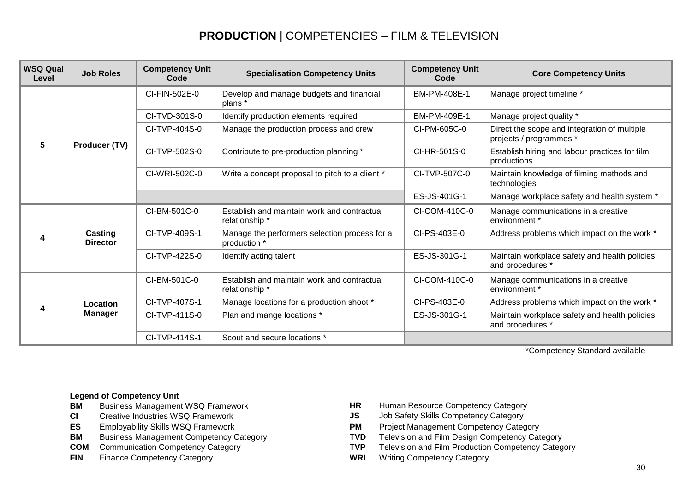| <b>WSQ Qual</b><br>Level | <b>Job Roles</b>           | <b>Competency Unit</b><br>Code | <b>Specialisation Competency Units</b>                        | <b>Competency Unit</b><br>Code | <b>Core Competency Units</b>                                            |
|--------------------------|----------------------------|--------------------------------|---------------------------------------------------------------|--------------------------------|-------------------------------------------------------------------------|
|                          |                            | CI-FIN-502E-0                  | Develop and manage budgets and financial<br>plans *           | BM-PM-408E-1                   | Manage project timeline *                                               |
|                          |                            | CI-TVD-301S-0                  | Identify production elements required                         | BM-PM-409E-1                   | Manage project quality *                                                |
| 5                        | Producer (TV)              | CI-TVP-404S-0                  | Manage the production process and crew                        | CI-PM-605C-0                   | Direct the scope and integration of multiple<br>projects / programmes * |
|                          |                            | CI-TVP-502S-0                  | Contribute to pre-production planning *                       | CI-HR-501S-0                   | Establish hiring and labour practices for film<br>productions           |
|                          |                            | CI-WRI-502C-0                  | Write a concept proposal to pitch to a client *               | CI-TVP-507C-0                  | Maintain knowledge of filming methods and<br>technologies               |
|                          |                            |                                |                                                               | ES-JS-401G-1                   | Manage workplace safety and health system *                             |
|                          | Casting<br><b>Director</b> | CI-BM-501C-0                   | Establish and maintain work and contractual<br>relationship * | CI-COM-410C-0                  | Manage communications in a creative<br>environment *                    |
|                          |                            | CI-TVP-409S-1                  | Manage the performers selection process for a<br>production * | CI-PS-403E-0                   | Address problems which impact on the work *                             |
|                          |                            | CI-TVP-422S-0                  | Identify acting talent                                        | ES-JS-301G-1                   | Maintain workplace safety and health policies<br>and procedures *       |
|                          |                            | CI-BM-501C-0                   | Establish and maintain work and contractual<br>relationship * | CI-COM-410C-0                  | Manage communications in a creative<br>environment *                    |
|                          | Location                   | CI-TVP-407S-1                  | Manage locations for a production shoot *                     | CI-PS-403E-0                   | Address problems which impact on the work *                             |
| 4                        | Manager                    | CI-TVP-411S-0                  | Plan and mange locations *                                    | ES-JS-301G-1                   | Maintain workplace safety and health policies<br>and procedures *       |
|                          |                            | CI-TVP-414S-1                  | Scout and secure locations *                                  |                                |                                                                         |

\*Competency Standard available

- **BM** Business Management WSQ Framework **HR** Human Resource Competency Category
- 
- 
- **BM** Business Management Competency Category **TVD** Television and Film Design Competency Category
- 
- **FIN** Finance Competency Category **WRI** Writing Competency Category
- 
- **CI** Creative Industries WSQ Framework **JS** Job Safety Skills Competency Category
- **ES** Employability Skills WSQ Framework **PM** Project Management Competency Category
	-
- **COM** Communication Competency Category **TVP** Television and Film Production Competency Category
	-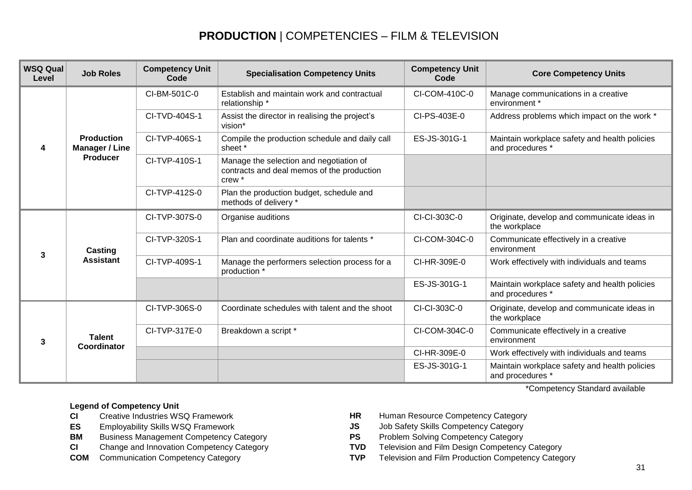| <b>WSQ Qual</b><br>Level | <b>Job Roles</b>                    | <b>Competency Unit</b><br>Code | <b>Specialisation Competency Units</b>                                                          | <b>Competency Unit</b><br>Code | <b>Core Competency Units</b>                                      |
|--------------------------|-------------------------------------|--------------------------------|-------------------------------------------------------------------------------------------------|--------------------------------|-------------------------------------------------------------------|
|                          |                                     | CI-BM-501C-0                   | Establish and maintain work and contractual<br>relationship *                                   | CI-COM-410C-0                  | Manage communications in a creative<br>environment *              |
|                          |                                     | CI-TVD-404S-1                  | Assist the director in realising the project's<br>vision*                                       | CI-PS-403E-0                   | Address problems which impact on the work *                       |
| Δ                        | <b>Production</b><br>Manager / Line | CI-TVP-406S-1                  | Compile the production schedule and daily call<br>sheet *                                       | ES-JS-301G-1                   | Maintain workplace safety and health policies<br>and procedures * |
|                          | <b>Producer</b>                     | CI-TVP-410S-1                  | Manage the selection and negotiation of<br>contracts and deal memos of the production<br>crew * |                                |                                                                   |
|                          |                                     | CI-TVP-412S-0                  | Plan the production budget, schedule and<br>methods of delivery *                               |                                |                                                                   |
|                          | Casting<br><b>Assistant</b>         | CI-TVP-307S-0                  | Organise auditions                                                                              | CI-CI-303C-0                   | Originate, develop and communicate ideas in<br>the workplace      |
| 3                        |                                     | CI-TVP-320S-1                  | Plan and coordinate auditions for talents *                                                     | CI-COM-304C-0                  | Communicate effectively in a creative<br>environment              |
|                          |                                     | CI-TVP-409S-1                  | Manage the performers selection process for a<br>production *                                   | CI-HR-309E-0                   | Work effectively with individuals and teams                       |
|                          |                                     |                                |                                                                                                 | ES-JS-301G-1                   | Maintain workplace safety and health policies<br>and procedures * |
|                          |                                     | CI-TVP-306S-0                  | Coordinate schedules with talent and the shoot                                                  | CI-CI-303C-0                   | Originate, develop and communicate ideas in<br>the workplace      |
| 3                        | <b>Talent</b><br>Coordinator        | CI-TVP-317E-0                  | Breakdown a script *                                                                            | CI-COM-304C-0                  | Communicate effectively in a creative<br>environment              |
|                          |                                     |                                |                                                                                                 | CI-HR-309E-0                   | Work effectively with individuals and teams                       |
|                          |                                     |                                |                                                                                                 | ES-JS-301G-1                   | Maintain workplace safety and health policies<br>and procedures * |

**Legend of Competency Unit**

- 
- 
- **BM** Business Management Competency Category **PS** Problem Solving Competency Category
- 
- 
- **CI** Creative Industries WSQ Framework **HR** Human Resource Competency Category
- **ES** Employability Skills WSQ Framework **JS** Job Safety Skills Competency Category
	-
- **CI** Change and Innovation Competency Category **TVD** Television and Film Design Competency Category<br> **COM** Communication Competency Category **TVP** Television and Film Production Competency Category
- **COM** Communication Competency Category **TVP** Television and Film Production Competency Category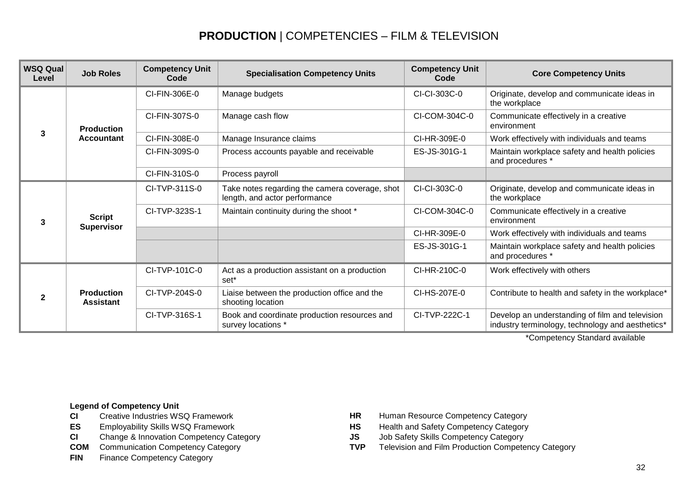| <b>WSQ Qual</b><br>Level | <b>Job Roles</b>                       | <b>Competency Unit</b><br>Code | <b>Specialisation Competency Units</b>                                          | <b>Competency Unit</b><br>Code | <b>Core Competency Units</b>                                                                        |
|--------------------------|----------------------------------------|--------------------------------|---------------------------------------------------------------------------------|--------------------------------|-----------------------------------------------------------------------------------------------------|
| 3                        | <b>Production</b><br><b>Accountant</b> | CI-FIN-306E-0                  | Manage budgets                                                                  | CI-CI-303C-0                   | Originate, develop and communicate ideas in<br>the workplace                                        |
|                          |                                        | CI-FIN-307S-0                  | Manage cash flow                                                                | CI-COM-304C-0                  | Communicate effectively in a creative<br>environment                                                |
|                          |                                        | CI-FIN-308E-0                  | Manage Insurance claims                                                         | CI-HR-309E-0                   | Work effectively with individuals and teams                                                         |
|                          |                                        | CI-FIN-309S-0                  | Process accounts payable and receivable                                         | ES-JS-301G-1                   | Maintain workplace safety and health policies<br>and procedures *                                   |
|                          |                                        | CI-FIN-310S-0                  | Process payroll                                                                 |                                |                                                                                                     |
| 3                        | <b>Script</b><br><b>Supervisor</b>     | CI-TVP-311S-0                  | Take notes regarding the camera coverage, shot<br>length, and actor performance | CI-CI-303C-0                   | Originate, develop and communicate ideas in<br>the workplace                                        |
|                          |                                        | CI-TVP-323S-1                  | Maintain continuity during the shoot *                                          | CI-COM-304C-0                  | Communicate effectively in a creative<br>environment                                                |
|                          |                                        |                                |                                                                                 | CI-HR-309E-0                   | Work effectively with individuals and teams                                                         |
|                          |                                        |                                |                                                                                 | ES-JS-301G-1                   | Maintain workplace safety and health policies<br>and procedures *                                   |
| 2                        | <b>Production</b><br><b>Assistant</b>  | CI-TVP-101C-0                  | Act as a production assistant on a production<br>set <sup>*</sup>               | CI-HR-210C-0                   | Work effectively with others                                                                        |
|                          |                                        | CI-TVP-204S-0                  | Liaise between the production office and the<br>shooting location               | CI-HS-207E-0                   | Contribute to health and safety in the workplace*                                                   |
|                          |                                        | CI-TVP-316S-1                  | Book and coordinate production resources and<br>survey locations *              | CI-TVP-222C-1                  | Develop an understanding of film and television<br>industry terminology, technology and aesthetics* |

\*Competency Standard available

- 
- 
- **CI** Change & Innovation Competency Category **JS** Job Safety Skills Competency Category
- 
- **FIN** Finance Competency Category
- **CI** Creative Industries WSQ Framework **HR** Human Resource Competency Category
- **ES** Employability Skills WSQ Framework **HS** Health and Safety Competency Category
	-
- **COM** Communication Competency Category **TVP** Television and Film Production Competency Category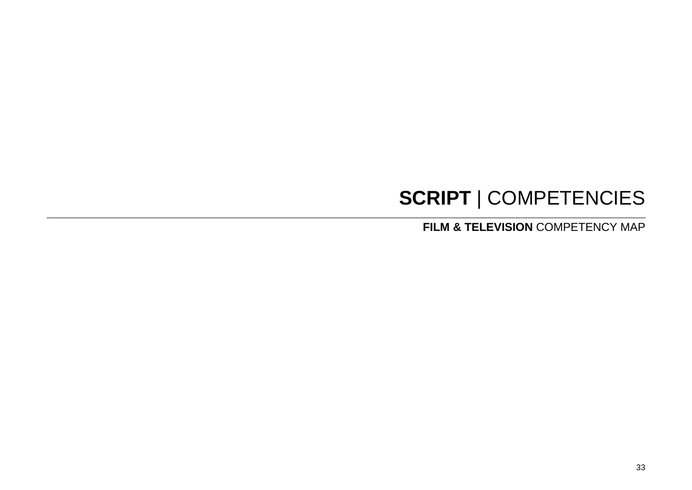# **SCRIPT** | COMPETENCIES

**FILM & TELEVISION** COMPETENCY MAP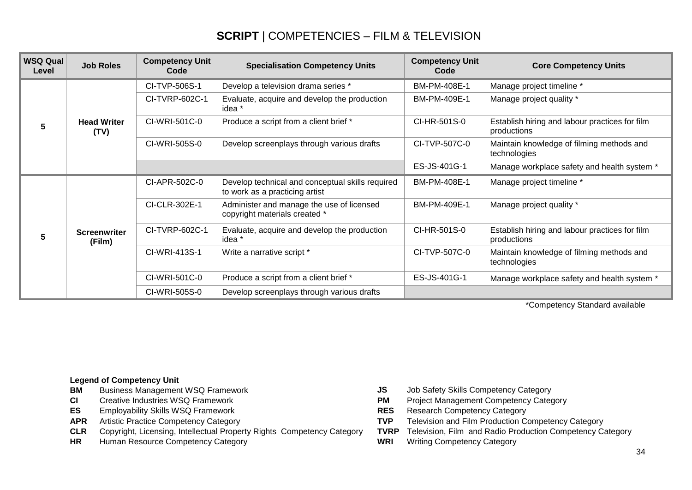| <b>WSQ Qual</b><br>Level | <b>Job Roles</b>              | <b>Competency Unit</b><br>Code | <b>Specialisation Competency Units</b>                                             | <b>Competency Unit</b><br>Code | <b>Core Competency Units</b>                                  |
|--------------------------|-------------------------------|--------------------------------|------------------------------------------------------------------------------------|--------------------------------|---------------------------------------------------------------|
|                          | <b>Head Writer</b><br>(TV)    | CI-TVP-506S-1                  | Develop a television drama series *                                                | BM-PM-408E-1                   | Manage project timeline *                                     |
|                          |                               | CI-TVRP-602C-1                 | Evaluate, acquire and develop the production<br>idea *                             | BM-PM-409E-1                   | Manage project quality *                                      |
|                          |                               | CI-WRI-501C-0                  | Produce a script from a client brief *                                             | CI-HR-501S-0                   | Establish hiring and labour practices for film<br>productions |
|                          |                               | CI-WRI-505S-0                  | Develop screenplays through various drafts                                         | CI-TVP-507C-0                  | Maintain knowledge of filming methods and<br>technologies     |
|                          |                               |                                |                                                                                    | ES-JS-401G-1                   | Manage workplace safety and health system *                   |
| 5                        | <b>Screenwriter</b><br>(Film) | CI-APR-502C-0                  | Develop technical and conceptual skills required<br>to work as a practicing artist | BM-PM-408E-1                   | Manage project timeline *                                     |
|                          |                               | CI-CLR-302E-1                  | Administer and manage the use of licensed<br>copyright materials created *         | BM-PM-409E-1                   | Manage project quality *                                      |
|                          |                               | CI-TVRP-602C-1                 | Evaluate, acquire and develop the production<br>idea *                             | CI-HR-501S-0                   | Establish hiring and labour practices for film<br>productions |
|                          |                               | CI-WRI-413S-1                  | Write a narrative script *                                                         | CI-TVP-507C-0                  | Maintain knowledge of filming methods and<br>technologies     |
|                          |                               | CI-WRI-501C-0                  | Produce a script from a client brief *                                             | ES-JS-401G-1                   | Manage workplace safety and health system *                   |
|                          |                               | CI-WRI-505S-0                  | Develop screenplays through various drafts                                         |                                |                                                               |

\*Competency Standard available

- 
- 
- **ES** Employability Skills WSQ Framework **RES** Research Competency Category
- 
- **CLR** Copyright, Licensing, Intellectual Property Rights Competency Category **TVRP** Television, Film and Radio Production Competency Category
- **HR** Human Resource Competency Category **WRI** Writing Competency Category
- **BM** Business Management WSQ Framework **JS** Job Safety Skills Competency Category
- **CI** Creative Industries WSQ Framework **PM** Project Management Competency Category
	-
- **APR** Artistic Practice Competency Category **TVP** Television and Film Production Competency Category
	-
	-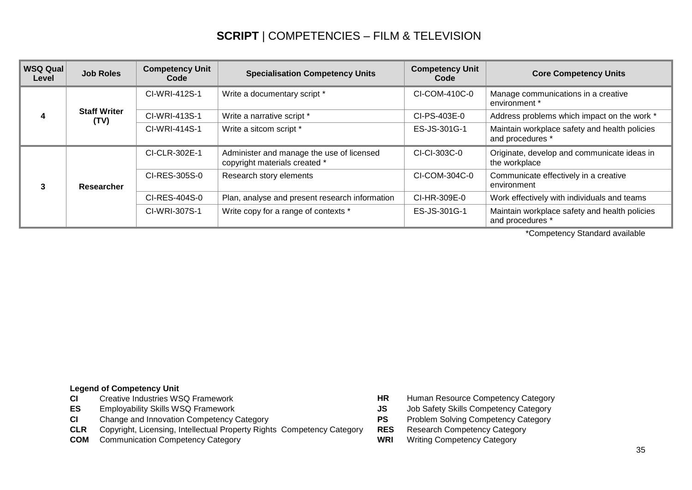| <b>WSQ Qual</b><br>Level | <b>Job Roles</b>            | <b>Competency Unit</b><br>Code | <b>Specialisation Competency Units</b>                                     | <b>Competency Unit</b><br>Code | <b>Core Competency Units</b>                                      |
|--------------------------|-----------------------------|--------------------------------|----------------------------------------------------------------------------|--------------------------------|-------------------------------------------------------------------|
|                          | <b>Staff Writer</b><br>(TV) | CI-WRI-412S-1                  | Write a documentary script *                                               | CI-COM-410C-0                  | Manage communications in a creative<br>environment *              |
|                          |                             | CI-WRI-413S-1                  | Write a narrative script *                                                 | CI-PS-403E-0                   | Address problems which impact on the work *                       |
|                          |                             | CI-WRI-414S-1                  | Write a sitcom script *                                                    | ES-JS-301G-1                   | Maintain workplace safety and health policies<br>and procedures * |
| 3                        | <b>Researcher</b>           | CI-CLR-302E-1                  | Administer and manage the use of licensed<br>copyright materials created * | CI-CI-303C-0                   | Originate, develop and communicate ideas in<br>the workplace      |
|                          |                             | CI-RES-305S-0                  | Research story elements                                                    | CI-COM-304C-0                  | Communicate effectively in a creative<br>environment              |
|                          |                             | CI-RES-404S-0                  | Plan, analyse and present research information                             | CI-HR-309E-0                   | Work effectively with individuals and teams                       |
|                          |                             | CI-WRI-307S-1                  | Write copy for a range of contexts *                                       | ES-JS-301G-1                   | Maintain workplace safety and health policies<br>and procedures * |

- **Legend of Competency Unit<br>CI** Creative Industries WSQ Framework
- 
- **ES** Employability Skills WSQ Framework **JS** Job Safety Skills Competency Category<br> **CI** Change and Innovation Competency Category **CI PS** Problem Solving Competency Category
- **CI** Change and Innovation Competency Category<br> **CLR** Copyright, Licensing, Intellectual Property Rights Competency Category **RES** Research Competency Category **CLR** Copyright, Licensing, Intellectual Property Rights Competency Category
- **COM** Communication Competency Category **WRI** Writing Competency Category
- **CI** Creative Industries WSQ Framework **HR** Human Resource Competency Category
	-
	-
	-
	-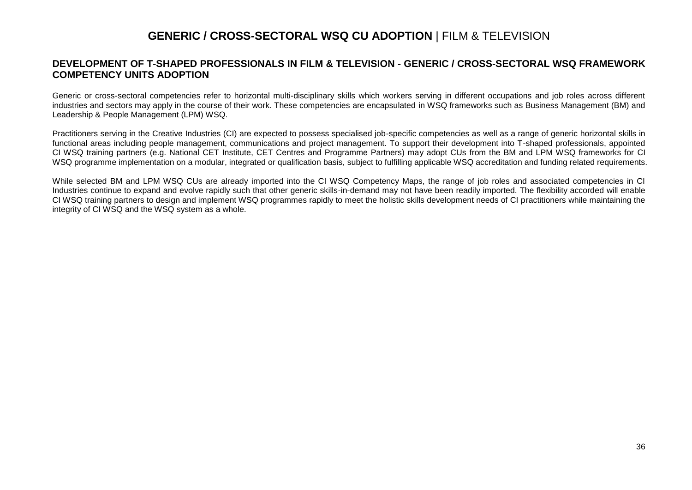#### **GENERIC / CROSS-SECTORAL WSQ CU ADOPTION** | FILM & TELEVISION

#### **DEVELOPMENT OF T-SHAPED PROFESSIONALS IN FILM & TELEVISION - GENERIC / CROSS-SECTORAL WSQ FRAMEWORK COMPETENCY UNITS ADOPTION**

Generic or cross-sectoral competencies refer to horizontal multi-disciplinary skills which workers serving in different occupations and job roles across different industries and sectors may apply in the course of their work. These competencies are encapsulated in WSQ frameworks such as Business Management (BM) and Leadership & People Management (LPM) WSQ.

Practitioners serving in the Creative Industries (CI) are expected to possess specialised job-specific competencies as well as a range of generic horizontal skills in functional areas including people management, communications and project management. To support their development into T-shaped professionals, appointed CI WSQ training partners (e.g. National CET Institute, CET Centres and Programme Partners) may adopt CUs from the BM and LPM WSQ frameworks for CI WSQ programme implementation on a modular, integrated or qualification basis, subject to fulfilling applicable WSQ accreditation and funding related requirements.

While selected BM and LPM WSQ CUs are already imported into the CI WSQ Competency Maps, the range of job roles and associated competencies in CI Industries continue to expand and evolve rapidly such that other generic skills-in-demand may not have been readily imported. The flexibility accorded will enable CI WSQ training partners to design and implement WSQ programmes rapidly to meet the holistic skills development needs of CI practitioners while maintaining the integrity of CI WSQ and the WSQ system as a whole.